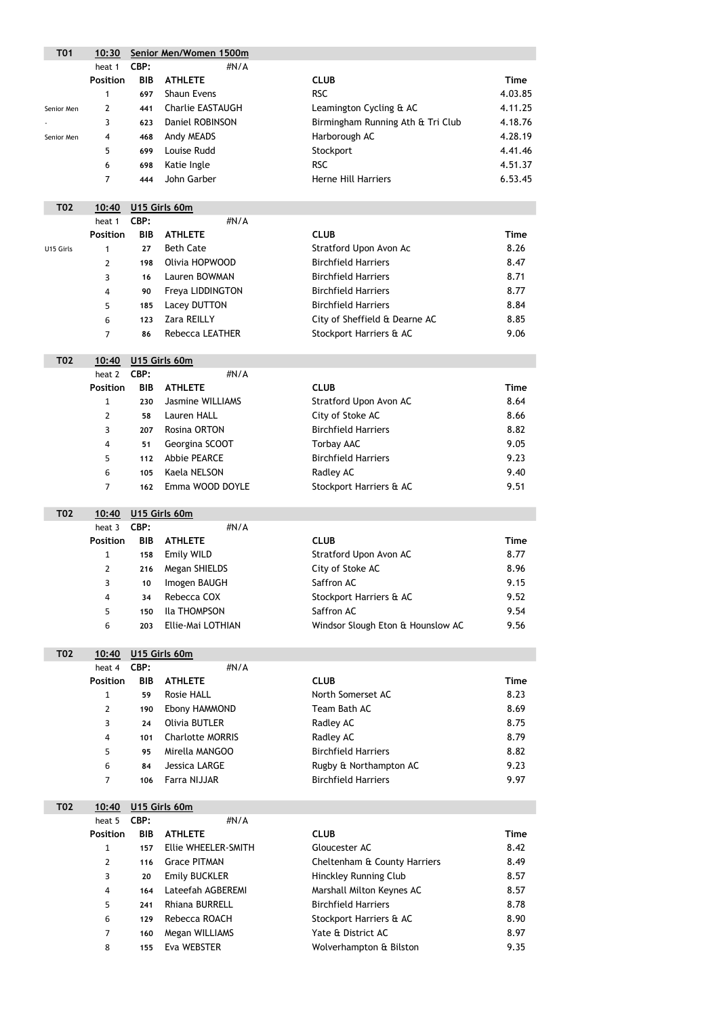| <b>T01</b> | 10:30                                                            |            | Senior Men/Women 1500m   |                                       |             |
|------------|------------------------------------------------------------------|------------|--------------------------|---------------------------------------|-------------|
|            | heat 1                                                           | CBP:       | #N/A                     |                                       |             |
|            | <b>Position</b>                                                  | <b>BIB</b> | <b>ATHLETE</b>           | <b>CLUB</b>                           | <b>Time</b> |
|            | 1                                                                | 697        | <b>Shaun Evens</b>       | <b>RSC</b>                            | 4.03.85     |
| Senior Men | $\mathbf{2}$                                                     | 441        | <b>Charlie EASTAUGH</b>  | Leamington Cycling & AC               | 4.11.25     |
|            | Daniel ROBINSON<br>Birmingham Running Ath & Tri Club<br>3<br>623 |            |                          | 4.18.76                               |             |
| Senior Men | 4                                                                | 468        | Andy MEADS               | Harborough AC                         | 4.28.19     |
|            | 5                                                                | 699        | Louise Rudd              | Stockport                             | 4.41.46     |
|            | 6                                                                | 698        | Katie Ingle              | <b>RSC</b>                            | 4.51.37     |
|            | 7                                                                | 444        | John Garber              | <b>Herne Hill Harriers</b>            | 6.53.45     |
|            |                                                                  |            |                          |                                       |             |
| <b>T02</b> | 10:40                                                            |            | U15 Girls 60m            |                                       |             |
|            | heat 1                                                           | CBP:       | #N/A                     |                                       |             |
|            | <b>Position</b>                                                  | <b>BIB</b> | <b>ATHLETE</b>           | <b>CLUB</b>                           | <b>Time</b> |
| U15 Girls  | 1                                                                | 27         | <b>Beth Cate</b>         | Stratford Upon Avon Ac                | 8.26        |
|            | $\overline{2}$                                                   | 198        | Olivia HOPWOOD           | <b>Birchfield Harriers</b>            | 8.47        |
|            | 3                                                                | 16         | Lauren BOWMAN            | <b>Birchfield Harriers</b>            | 8.71        |
|            | $\overline{4}$                                                   | 90         | Freya LIDDINGTON         | <b>Birchfield Harriers</b>            | 8.77        |
|            | 5                                                                | 185        | <b>Lacey DUTTON</b>      | <b>Birchfield Harriers</b>            | 8.84        |
|            | 6                                                                | 123        | Zara REILLY              | City of Sheffield & Dearne AC         | 8.85        |
|            | 7                                                                | 86         | <b>Rebecca LEATHER</b>   | Stockport Harriers & AC               | 9.06        |
|            |                                                                  |            |                          |                                       |             |
| <b>T02</b> | 10:40                                                            |            | U15 Girls 60m            |                                       |             |
|            | heat 2                                                           | CBP:       | #N/A                     |                                       |             |
|            | <b>Position</b>                                                  | <b>BIB</b> | <b>ATHLETE</b>           | <b>CLUB</b>                           | <b>Time</b> |
|            | $\mathbf{1}$                                                     | 230        | <b>Jasmine WILLIAMS</b>  | Stratford Upon Avon AC                | 8.64        |
|            | $\overline{2}$                                                   | 58         | Lauren HALL              | City of Stoke AC                      | 8.66        |
|            | 3                                                                | 207        | Rosina ORTON             | <b>Birchfield Harriers</b>            | 8.82        |
|            | 4                                                                | 51         | Georgina SCOOT           | <b>Torbay AAC</b>                     | 9.05        |
|            | 5                                                                | 112        | <b>Abbie PEARCE</b>      | <b>Birchfield Harriers</b>            | 9.23        |
|            | 6                                                                | 105        | Kaela NELSON             | Radley AC                             | 9.40        |
|            | $\overline{7}$                                                   | 162        | Emma WOOD DOYLE          | Stockport Harriers & AC               | 9.51        |
|            |                                                                  |            |                          |                                       |             |
| <b>T02</b> | 10:40                                                            |            | U15 Girls 60m            |                                       |             |
|            | heat 3                                                           | CBP:       | #N/A                     |                                       |             |
|            | <b>Position</b>                                                  | <b>BIB</b> | <b>ATHLETE</b>           | <b>CLUB</b>                           | <b>Time</b> |
|            | $\mathbf{1}$                                                     | 158        | <b>Emily WILD</b>        | <b>Stratford Upon Avon AC</b>         | 8.77        |
|            | $\overline{2}$                                                   | 216        | Megan SHIELDS            | City of Stoke AC                      | 8.96        |
|            | 3                                                                | 10         | Imogen BAUGH             | Saffron AC                            | 9.15        |
|            | $\overline{4}$                                                   | 34         | Rebecca COX              | Stockport Harriers & AC<br>Saffron AC | 9.52        |
|            | 5                                                                | 150        | Ila THOMPSON             |                                       | 9.54        |
|            | 6                                                                | 203        | <b>Ellie-Mai LOTHIAN</b> | Windsor Slough Eton & Hounslow AC     | 9.56        |
| <b>T02</b> |                                                                  |            |                          |                                       |             |
|            | 10:40<br>heat 4                                                  | CBP:       | U15 Girls 60m<br>#N/A    |                                       |             |
|            | <b>Position</b>                                                  | <b>BIB</b> | <b>ATHLETE</b>           | <b>CLUB</b>                           | <b>Time</b> |
|            | $\mathbf{1}$                                                     | 59         | <b>Rosie HALL</b>        | North Somerset AC                     | 8.23        |
|            | $\overline{2}$                                                   | 190        | Ebony HAMMOND            | Team Bath AC                          | 8.69        |
|            | 3                                                                | 24         | <b>Olivia BUTLER</b>     | Radley AC                             | 8.75        |
|            | 4                                                                | 101        | <b>Charlotte MORRIS</b>  | Radley AC                             | 8.79        |
|            | 5                                                                | 95         | Mirella MANGOO           | <b>Birchfield Harriers</b>            | 8.82        |

|  | 84 — Jessica LARGE | Rugby & Northampton AC     | 9.23 |
|--|--------------------|----------------------------|------|
|  | 106 Farra NIJJAR   | <b>Birchfield Harriers</b> | 9.97 |

| <b>T02</b> | 10:40           |            | U15 Girls 60m         |                              |             |  |  |  |
|------------|-----------------|------------|-----------------------|------------------------------|-------------|--|--|--|
|            | heat 5          | CBP:       | #N/A                  |                              |             |  |  |  |
|            | <b>Position</b> | <b>BIB</b> | <b>ATHLETE</b>        | <b>CLUB</b>                  | <b>Time</b> |  |  |  |
|            | 1               | 157        | Ellie WHEELER-SMITH   | Gloucester AC                | 8.42        |  |  |  |
|            | $\overline{2}$  | 116        | <b>Grace PITMAN</b>   | Cheltenham & County Harriers | 8.49        |  |  |  |
|            | 3               | 20         | <b>Emily BUCKLER</b>  | Hinckley Running Club        | 8.57        |  |  |  |
|            | 4               | 164        | Lateefah AGBEREMI     | Marshall Milton Keynes AC    | 8.57        |  |  |  |
|            | 5               | 241        | <b>Rhiana BURRELL</b> | <b>Birchfield Harriers</b>   | 8.78        |  |  |  |
|            | 6               | 129        | Rebecca ROACH         | Stockport Harriers & AC      | 8.90        |  |  |  |
|            | $\overline{7}$  | 160        | Megan WILLIAMS        | Yate & District AC           | 8.97        |  |  |  |
|            | 8               | 155        | Eva WEBSTER           | Wolverhampton & Bilston      | 9.35        |  |  |  |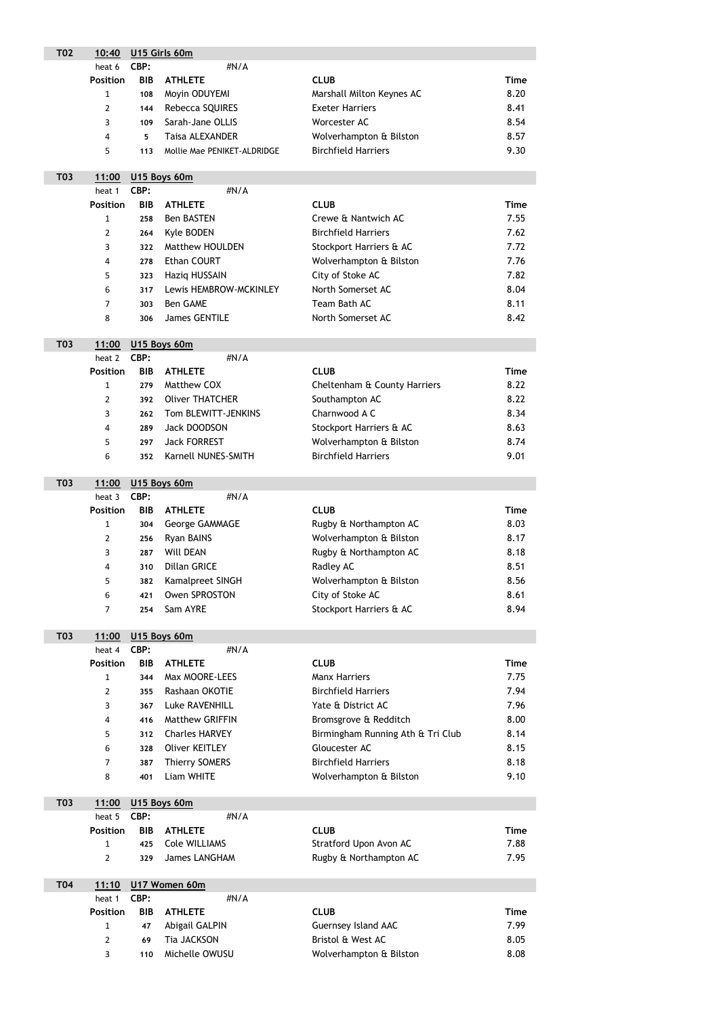| <b>T02</b> | 10:40           | U15 Girls 60m |                             |                                   |             |  |
|------------|-----------------|---------------|-----------------------------|-----------------------------------|-------------|--|
|            | heat 6          | CBP:          | #N/A                        |                                   |             |  |
|            | <b>Position</b> | <b>BIB</b>    | <b>ATHLETE</b>              | <b>CLUB</b>                       | <b>Time</b> |  |
|            | $\mathbf 1$     | 108           | Moyin ODUYEMI               | Marshall Milton Keynes AC         | 8.20        |  |
| 2<br>144   |                 |               | Rebecca SQUIRES             | <b>Exeter Harriers</b>            | 8.41        |  |
|            | 3               | 109           | Sarah-Jane OLLIS            | Worcester AC                      | 8.54        |  |
|            | 4               | 5             | <b>Taisa ALEXANDER</b>      | Wolverhampton & Bilston           | 8.57        |  |
|            | 5               | 113           | Mollie Mae PENIKET-ALDRIDGE | <b>Birchfield Harriers</b>        | 9.30        |  |
|            |                 |               |                             |                                   |             |  |
| <b>T03</b> | 11:00           |               | U15 Boys 60m                |                                   |             |  |
|            | heat 1          | CBP:          | #N/A                        |                                   |             |  |
|            | <b>Position</b> | <b>BIB</b>    | <b>ATHLETE</b>              | <b>CLUB</b>                       | <b>Time</b> |  |
|            | $\mathbf{1}$    | 258           | <b>Ben BASTEN</b>           | Crewe & Nantwich AC               | 7.55        |  |
|            | 2               | 264           | Kyle BODEN                  | <b>Birchfield Harriers</b>        | 7.62        |  |
|            | 3               | 322           | <b>Matthew HOULDEN</b>      | Stockport Harriers & AC           | 7.72        |  |
|            | 4               | 278           | <b>Ethan COURT</b>          | Wolverhampton & Bilston           | 7.76        |  |
|            | 5               | 323           | Haziq HUSSAIN               | City of Stoke AC                  | 7.82        |  |
|            | 6               | 317           | Lewis HEMBROW-MCKINLEY      | North Somerset AC                 | 8.04        |  |
|            | 7               | 303           | <b>Ben GAME</b>             | Team Bath AC                      | 8.11        |  |
|            | 8               | 306           | <b>James GENTILE</b>        | North Somerset AC                 | 8.42        |  |
|            |                 |               |                             |                                   |             |  |
| <b>T03</b> | 11:00           |               | U15 Boys 60m                |                                   |             |  |
|            | heat 2          | CBP:          | #N/A                        |                                   |             |  |
|            | <b>Position</b> | <b>BIB</b>    | <b>ATHLETE</b>              | <b>CLUB</b>                       | <b>Time</b> |  |
|            | 1               | 279           | Matthew COX                 | Cheltenham & County Harriers      | 8.22        |  |
|            | $\overline{2}$  | 392           | <b>Oliver THATCHER</b>      | Southampton AC                    | 8.22        |  |
|            | 3               | 262           | Tom BLEWITT-JENKINS         | Charnwood A C                     | 8.34        |  |
|            | 4               | 289           | Jack DOODSON                | Stockport Harriers & AC           | 8.63        |  |
|            | 5               | 297           | <b>Jack FORREST</b>         | Wolverhampton & Bilston           | 8.74        |  |
|            | 6               | 352           | Karnell NUNES-SMITH         | <b>Birchfield Harriers</b>        | 9.01        |  |
|            |                 |               |                             |                                   |             |  |
| <b>T03</b> | 11:00           |               | U15 Boys 60m                |                                   |             |  |
|            | heat 3          | CBP:          | #N/A                        |                                   |             |  |
|            | <b>Position</b> | <b>BIB</b>    | <b>ATHLETE</b>              | <b>CLUB</b>                       | <b>Time</b> |  |
|            | 1               | 304           | George GAMMAGE              | Rugby & Northampton AC            | 8.03        |  |
|            | 2               | 256           | Ryan BAINS                  | Wolverhampton & Bilston           | 8.17        |  |
|            | 3               | 287           | <b>Will DEAN</b>            | Rugby & Northampton AC            | 8.18        |  |
|            | 4               | 310           | <b>Dillan GRICE</b>         | Radley AC                         | 8.51        |  |
|            | 5               | 382           | Kamalpreet SINGH            | Wolverhampton & Bilston           | 8.56        |  |
|            | 6               | 421           | <b>Owen SPROSTON</b>        | City of Stoke AC                  | 8.61        |  |
|            | 7               | 254           | Sam AYRE                    | Stockport Harriers & AC           | 8.94        |  |
|            |                 |               |                             |                                   |             |  |
| <b>T03</b> | 11:00           |               | U15 Boys 60m                |                                   |             |  |
|            | heat 4          | CBP:          | #N/A                        |                                   |             |  |
|            | <b>Position</b> | <b>BIB</b>    | <b>ATHLETE</b>              | <b>CLUB</b>                       | <b>Time</b> |  |
|            | 1               | 344           | Max MOORE-LEES              | <b>Manx Harriers</b>              | 7.75        |  |
|            | $\overline{2}$  | 355           | Rashaan OKOTIE              | <b>Birchfield Harriers</b>        | 7.94        |  |
|            | 3               | 367           | Luke RAVENHILL              | Yate & District AC                | 7.96        |  |
|            | 4               | 416           | Matthew GRIFFIN             | Bromsgrove & Redditch             | 8.00        |  |
|            | 5               | 312           | <b>Charles HARVEY</b>       | Birmingham Running Ath & Tri Club | 8.14        |  |
|            | 6               | 328           | <b>Oliver KEITLEY</b>       | Gloucester AC                     | 8.15        |  |
|            | 7               | 387           | <b>Thierry SOMERS</b>       | <b>Birchfield Harriers</b>        | 8.18        |  |
|            | 8               | 401           | Liam WHITE                  | Wolverhampton & Bilston           | 9.10        |  |

| <b>T03</b> |                    |     | 11:00 U15 Boys 60m |                        |      |  |  |  |
|------------|--------------------|-----|--------------------|------------------------|------|--|--|--|
|            | heat 5 <b>CBP:</b> |     | $\#N/A$            |                        |      |  |  |  |
|            | <b>Position</b>    |     | <b>BIB ATHLETE</b> | <b>CLUB</b>            | Time |  |  |  |
|            |                    |     | 425 Cole WILLIAMS  | Stratford Upon Avon AC | 7.88 |  |  |  |
|            |                    | 329 | James LANGHAM      | Rugby & Northampton AC | 7.95 |  |  |  |

| <b>T04</b> |                 |      | 11:10 U17 Women 60m |                            |      |  |  |  |
|------------|-----------------|------|---------------------|----------------------------|------|--|--|--|
|            | heat 1          | CBP: | #N/A                |                            |      |  |  |  |
|            | <b>Position</b> |      | <b>BIB ATHLETE</b>  | <b>CLUB</b>                | Time |  |  |  |
|            |                 | 47   | Abigail GALPIN      | <b>Guernsey Island AAC</b> | 7.99 |  |  |  |
|            |                 | 69   | Tia JACKSON         | Bristol & West AC          | 8.05 |  |  |  |
|            |                 | 110  | Michelle OWUSU      | Wolverhampton & Bilston    | 8.08 |  |  |  |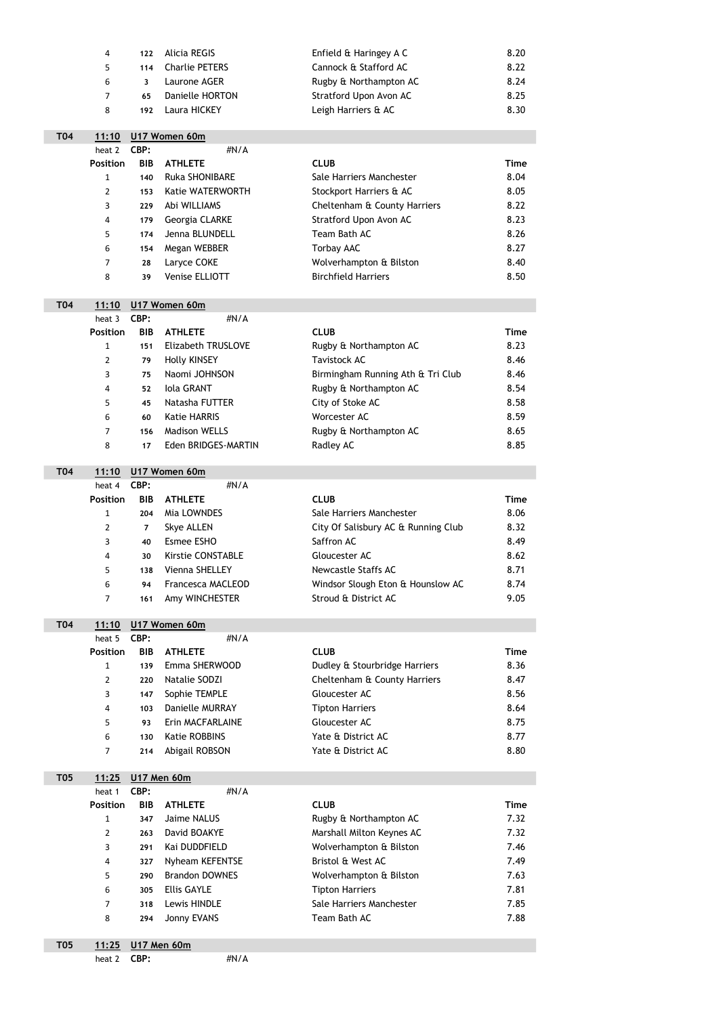|            | <b>Alicia REGIS</b><br>Enfield & Haringey A C<br>4<br>122 |               | 8.20                                           |                                     |             |  |  |
|------------|-----------------------------------------------------------|---------------|------------------------------------------------|-------------------------------------|-------------|--|--|
|            | 5                                                         | 114           | Cannock & Stafford AC<br><b>Charlie PETERS</b> |                                     | 8.22        |  |  |
|            | 6                                                         | 3             | Laurone AGER                                   | Rugby & Northampton AC              | 8.24        |  |  |
|            | 7                                                         | 65            | Danielle HORTON                                | Stratford Upon Avon AC              | 8.25        |  |  |
|            | 8                                                         | 192           | Laura HICKEY<br>Leigh Harriers & AC            |                                     | 8.30        |  |  |
|            |                                                           |               |                                                |                                     |             |  |  |
| <b>T04</b> | 11:10                                                     | U17 Women 60m |                                                |                                     |             |  |  |
|            | heat 2                                                    | CBP:          | #N/A                                           |                                     |             |  |  |
|            | <b>Position</b>                                           | <b>BIB</b>    | <b>ATHLETE</b>                                 | <b>CLUB</b>                         | <b>Time</b> |  |  |
|            | $\mathbf{1}$                                              | 140           | <b>Ruka SHONIBARE</b>                          | Sale Harriers Manchester            | 8.04        |  |  |
|            | 2                                                         | 153           | Katie WATERWORTH                               | Stockport Harriers & AC             | 8.05        |  |  |
|            | 3                                                         | 229           | Abi WILLIAMS                                   | Cheltenham & County Harriers        | 8.22        |  |  |
|            | 4                                                         | 179           | Georgia CLARKE                                 | Stratford Upon Avon AC              | 8.23        |  |  |
|            | 5                                                         | 174           | Jenna BLUNDELL                                 | Team Bath AC                        | 8.26        |  |  |
|            | 6                                                         | 154           | Megan WEBBER                                   | <b>Torbay AAC</b>                   | 8.27        |  |  |
|            | 7                                                         | 28            | Laryce COKE                                    | Wolverhampton & Bilston             | 8.40        |  |  |
|            | 8                                                         | 39            | Venise ELLIOTT                                 | <b>Birchfield Harriers</b>          | 8.50        |  |  |
|            |                                                           |               |                                                |                                     |             |  |  |
| <b>T04</b> | 11:10                                                     |               | U17 Women 60m                                  |                                     |             |  |  |
|            | heat 3                                                    | CBP:          | #N/A                                           |                                     |             |  |  |
|            | <b>Position</b>                                           | <b>BIB</b>    | <b>ATHLETE</b>                                 | <b>CLUB</b>                         | <b>Time</b> |  |  |
|            | $\mathbf{1}$                                              | 151           | <b>Elizabeth TRUSLOVE</b>                      | Rugby & Northampton AC              | 8.23        |  |  |
|            | 2<br>79                                                   |               | <b>Holly KINSEY</b>                            | <b>Tavistock AC</b>                 | 8.46        |  |  |
|            | 3<br>75                                                   |               | Naomi JOHNSON                                  | Birmingham Running Ath & Tri Club   | 8.46        |  |  |
|            | 4                                                         | 52            | <b>Iola GRANT</b>                              | Rugby & Northampton AC              | 8.54        |  |  |
|            | 5                                                         | 45            | Natasha FUTTER                                 | City of Stoke AC                    | 8.58        |  |  |
|            | 6                                                         | 60            | <b>Katie HARRIS</b>                            | Worcester AC                        | 8.59        |  |  |
|            | 7                                                         | 156           | <b>Madison WELLS</b>                           | Rugby & Northampton AC              | 8.65        |  |  |
|            | 8                                                         | 17            | Eden BRIDGES-MARTIN                            | Radley AC                           | 8.85        |  |  |
|            |                                                           |               |                                                |                                     |             |  |  |
| <b>T04</b> | 11:10                                                     |               | U17 Women 60m                                  |                                     |             |  |  |
|            | heat 4                                                    | CBP:          | #N/A                                           |                                     |             |  |  |
|            | <b>Position</b>                                           | <b>BIB</b>    | <b>ATHLETE</b>                                 | <b>CLUB</b>                         | <b>Time</b> |  |  |
|            | $\mathbf{1}$                                              | 204           | Mia LOWNDES                                    | Sale Harriers Manchester            | 8.06        |  |  |
|            | $\overline{2}$                                            | 7             | <b>Skye ALLEN</b>                              | City Of Salisbury AC & Running Club | 8.32        |  |  |
|            | 3                                                         | 40            | Esmee ESHO                                     | Saffron AC                          | 8.49        |  |  |
|            | 4                                                         | 30            | <b>Kirstie CONSTABLE</b>                       | Gloucester AC                       | 8.62        |  |  |
|            | 5                                                         | 138           | Vienna SHELLEY                                 | <b>Newcastle Staffs AC</b>          | 8.71        |  |  |
|            | 6                                                         | 94            | <b>Francesca MACLEOD</b>                       | Windsor Slough Eton & Hounslow AC   | 8.74        |  |  |
|            | 7                                                         | 161           | Amy WINCHESTER                                 | Stroud & District AC                | 9.05        |  |  |
|            |                                                           |               |                                                |                                     |             |  |  |
| <b>T04</b> | <u>11:10</u>                                              |               | U17 Women 60m                                  |                                     |             |  |  |
|            | heat 5                                                    | CBP:          | #N/A                                           |                                     |             |  |  |
|            | <b>Position</b>                                           | <b>BIB</b>    | <b>ATHLETE</b>                                 | <b>CLUB</b>                         | <b>Time</b> |  |  |
|            | 1                                                         | 139           | Emma SHERWOOD                                  | Dudley & Stourbridge Harriers       | 8.36        |  |  |
|            | $\overline{2}$                                            | 220           | Natalie SODZI                                  | Cheltenham & County Harriers        | 8.47        |  |  |
|            | 3                                                         | 147           | Sophie TEMPLE                                  | Gloucester AC                       | 8.56        |  |  |
|            | 4                                                         | 103           | Danielle MURRAY                                | <b>Tipton Harriers</b>              | 8.64        |  |  |
|            | 5                                                         | 93            | Erin MACFARLAINE                               | Gloucester AC                       | 8.75        |  |  |
|            | 6                                                         | 130           | <b>Katie ROBBINS</b>                           | Yate & District AC                  | 8.77        |  |  |

| <b>T05</b> | 11:25           |            | <b>U17 Men 60m</b>    |                           |             |  |  |
|------------|-----------------|------------|-----------------------|---------------------------|-------------|--|--|
|            | heat 1          | CBP:       | $\#N/A$               |                           |             |  |  |
|            | <b>Position</b> | <b>BIB</b> | <b>ATHLETE</b>        | <b>CLUB</b>               | <b>Time</b> |  |  |
|            | $\mathbf{1}$    | 347        | Jaime NALUS           | Rugby & Northampton AC    | 7.32        |  |  |
|            | $\overline{2}$  | 263        | David BOAKYE          | Marshall Milton Keynes AC | 7.32        |  |  |
|            | 3               | 291        | Kai DUDDFIELD         | Wolverhampton & Bilston   | 7.46        |  |  |
|            | 4               | 327        | Nyheam KEFENTSE       | Bristol & West AC         | 7.49        |  |  |
|            | 5               | 290        | <b>Brandon DOWNES</b> | Wolverhampton & Bilston   | 7.63        |  |  |
|            | 6               | 305        | <b>Ellis GAYLE</b>    | <b>Tipton Harriers</b>    | 7.81        |  |  |
|            | $\overline{7}$  | 318        | Lewis HINDLE          | Sale Harriers Manchester  | 7.85        |  |  |
|            | 8               | 294        | Jonny EVANS           | Team Bath AC              | 7.88        |  |  |
|            |                 |            |                       |                           |             |  |  |

7 214 Abigail ROBSON Yate & District AC 8.80

| T05 |                 | 11:25 U17 Men 60m |      |
|-----|-----------------|-------------------|------|
|     | heat $2$ $CBP:$ |                   | #N/A |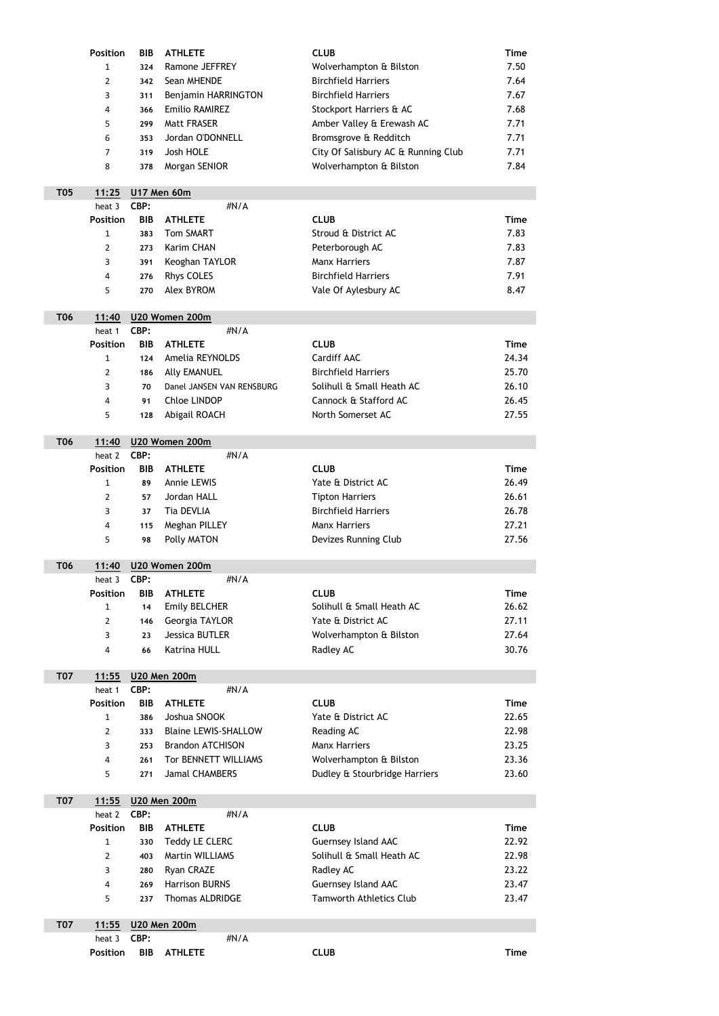|            | <b>Position</b> | <b>BIB</b> | <b>ATHLETE</b>                                  | <b>CLUB</b>                         | <b>Time</b>    |
|------------|-----------------|------------|-------------------------------------------------|-------------------------------------|----------------|
|            | $\mathbf{1}$    | 324        | Ramone JEFFREY                                  | Wolverhampton & Bilston             | 7.50           |
|            | $\overline{2}$  | 342        | Sean MHENDE                                     | <b>Birchfield Harriers</b>          | 7.64           |
|            | 3               | 311        | Benjamin HARRINGTON                             | <b>Birchfield Harriers</b>          | 7.67           |
|            | 4               | 366        | <b>Emilio RAMIREZ</b>                           | Stockport Harriers & AC             | 7.68           |
|            | 5               | 299        | <b>Matt FRASER</b>                              | Amber Valley & Erewash AC           | 7.71           |
|            | 6               | 353        | Jordan O'DONNELL                                | Bromsgrove & Redditch               | 7.71           |
|            | $\overline{7}$  | 319        | Josh HOLE                                       | City Of Salisbury AC & Running Club | 7.71           |
|            | 8               | 378        | Morgan SENIOR                                   | Wolverhampton & Bilston             | 7.84           |
|            |                 |            |                                                 |                                     |                |
| <b>T05</b> | 11:25           |            | U17 Men 60m                                     |                                     |                |
|            | heat 3          | CBP:       | #N/A                                            |                                     |                |
|            | <b>Position</b> | <b>BIB</b> | <b>ATHLETE</b>                                  | <b>CLUB</b>                         | <b>Time</b>    |
|            | $\mathbf{1}$    | 383        | <b>Tom SMART</b>                                | Stroud & District AC                | 7.83           |
|            | $\overline{2}$  | 273        | <b>Karim CHAN</b>                               | Peterborough AC                     | 7.83           |
|            | 3               | 391        | Keoghan TAYLOR                                  | <b>Manx Harriers</b>                | 7.87           |
|            | 4               | 276        | <b>Rhys COLES</b>                               | <b>Birchfield Harriers</b>          | 7.91           |
|            | 5               | 270        | <b>Alex BYROM</b>                               | Vale Of Aylesbury AC                | 8.47           |
|            |                 |            |                                                 |                                     |                |
| <b>T06</b> | 11:40           |            | U20 Women 200m                                  |                                     |                |
|            | heat 1          | CBP:       | #N/A                                            |                                     |                |
|            | <b>Position</b> | <b>BIB</b> | <b>ATHLETE</b>                                  | <b>CLUB</b>                         | <b>Time</b>    |
|            | $\mathbf{1}$    | 124        | Amelia REYNOLDS                                 | Cardiff AAC                         | 24.34          |
|            | $\overline{2}$  | 186        | <b>Ally EMANUEL</b>                             | <b>Birchfield Harriers</b>          | 25.70          |
|            | 3               | 70         | Danel JANSEN VAN RENSBURG                       | Solihull & Small Heath AC           | 26.10          |
|            | 4               | 91         | <b>Chloe LINDOP</b>                             | Cannock & Stafford AC               | 26.45          |
|            |                 |            |                                                 |                                     |                |
|            | 5               | 128        | Abigail ROACH                                   | North Somerset AC                   | 27.55          |
|            |                 |            |                                                 |                                     |                |
|            | 11:40           |            | U20 Women 200m                                  |                                     |                |
|            | heat 2          | CBP:       | #N/A                                            |                                     |                |
|            | <b>Position</b> | <b>BIB</b> | <b>ATHLETE</b>                                  | <b>CLUB</b>                         | <b>Time</b>    |
|            | $\mathbf{1}$    | 89         | <b>Annie LEWIS</b>                              | Yate & District AC                  | 26.49          |
|            | $\overline{2}$  | 57         | Jordan HALL                                     | <b>Tipton Harriers</b>              | 26.61          |
|            | 3               | 37         | <b>Tia DEVLIA</b>                               | <b>Birchfield Harriers</b>          | 26.78          |
|            | 4               | 115        | Meghan PILLEY                                   | <b>Manx Harriers</b>                | 27.21          |
| <b>T06</b> | 5               | 98         | <b>Polly MATON</b>                              | Devizes Running Club                | 27.56          |
|            |                 |            |                                                 |                                     |                |
| <b>T06</b> | 11:40           |            | U20 Women 200m                                  |                                     |                |
|            | heat 3          | CBP:       | #N/A                                            |                                     |                |
|            | <b>Position</b> | <b>BIB</b> | <b>ATHLETE</b>                                  | <b>CLUB</b>                         | <b>Time</b>    |
|            | $\mathbf{1}$    | 14         | <b>Emily BELCHER</b>                            | Solihull & Small Heath AC           | 26.62          |
|            | $\overline{2}$  | 146        | Georgia TAYLOR                                  | Yate & District AC                  | 27.11          |
|            | 3               | 23         | <b>Jessica BUTLER</b>                           | Wolverhampton & Bilston             | 27.64          |
|            | 4               | 66         | <b>Katrina HULL</b>                             | Radley AC                           | 30.76          |
|            |                 |            |                                                 |                                     |                |
| <b>T07</b> | 11:55           |            | <b>U20 Men 200m</b>                             |                                     |                |
|            | heat 1          | CBP:       | #N/A                                            |                                     |                |
|            | <b>Position</b> | <b>BIB</b> | <b>ATHLETE</b>                                  | <b>CLUB</b>                         | <b>Time</b>    |
|            | $\mathbf{1}$    | 386        | Joshua SNOOK                                    | Yate & District AC                  | 22.65          |
|            | $\overline{2}$  | 333        | <b>Blaine LEWIS-SHALLOW</b>                     | Reading AC                          | 22.98          |
|            | 3               | 253        | <b>Brandon ATCHISON</b><br>Tor BENNETT WILLIAMS | <b>Manx Harriers</b>                | 23.25<br>23.36 |

5 271 Jamal CHAMBERS Dudley & Stourbridge Harriers 23.60

| <b>T07</b> |                    |            | 11:55 U20 Men 200m     |                                |       |  |  |  |
|------------|--------------------|------------|------------------------|--------------------------------|-------|--|--|--|
|            | heat 2 <b>CBP:</b> |            | $\#N/A$                |                                |       |  |  |  |
|            | <b>Position</b>    | <b>BIB</b> | <b>ATHLETE</b>         | <b>CLUB</b>                    | Time  |  |  |  |
|            | $\mathbf{1}$       | 330        | Teddy LE CLERC         | <b>Guernsey Island AAC</b>     | 22.92 |  |  |  |
|            |                    | 403        | <b>Martin WILLIAMS</b> | Solihull & Small Heath AC      | 22.98 |  |  |  |
|            | 3                  | 280        | Ryan CRAZE             | Radley AC                      | 23.22 |  |  |  |
|            | 4                  | 269        | <b>Harrison BURNS</b>  | <b>Guernsey Island AAC</b>     | 23.47 |  |  |  |
|            | 5.                 | 237        | <b>Thomas ALDRIDGE</b> | <b>Tamworth Athletics Club</b> | 23.47 |  |  |  |

| <b>T07</b> |                    | 11:55 U20 Men 200m |      |             |         |
|------------|--------------------|--------------------|------|-------------|---------|
|            | heat 3 <b>CBP:</b> |                    | #N/A |             |         |
|            | <b>Position</b>    | <b>BIB ATHLETE</b> |      | <b>CLUB</b> | $T$ ime |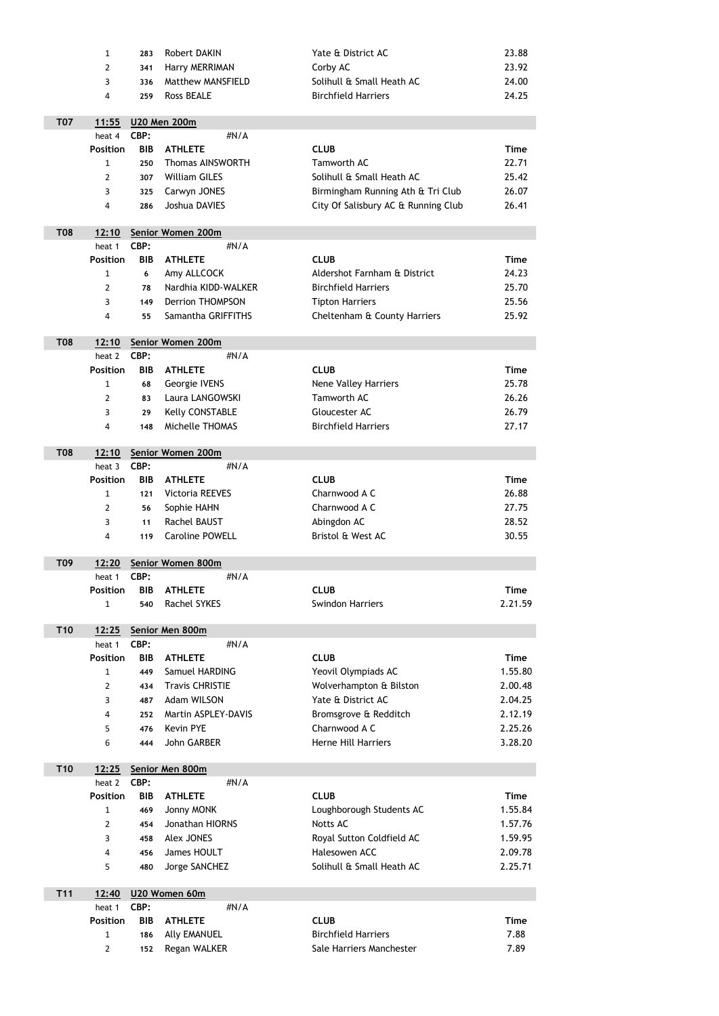|                 | $\mathbf{1}$    | 283        | Robert DAKIN               | Yate & District AC                  | 23.88       |
|-----------------|-----------------|------------|----------------------------|-------------------------------------|-------------|
|                 | $\overline{2}$  | 341        | Harry MERRIMAN             | Corby AC                            | 23.92       |
|                 | 3               | 336        | <b>Matthew MANSFIELD</b>   | Solihull & Small Heath AC           | 24.00       |
|                 | 4               | 259        | Ross BEALE                 | <b>Birchfield Harriers</b>          | 24.25       |
|                 |                 |            |                            |                                     |             |
| <b>T07</b>      | 11:55           |            | <b>U20 Men 200m</b>        |                                     |             |
|                 | heat 4          | CBP:       | #N/A                       |                                     |             |
|                 | <b>Position</b> | <b>BIB</b> | <b>ATHLETE</b>             | <b>CLUB</b>                         | <b>Time</b> |
|                 | $\mathbf{1}$    | 250        | <b>Thomas AINSWORTH</b>    | Tamworth AC                         | 22.71       |
|                 | $\overline{2}$  | 307        | <b>William GILES</b>       | Solihull & Small Heath AC           | 25.42       |
|                 | 3               | 325        | Carwyn JONES               | Birmingham Running Ath & Tri Club   | 26.07       |
|                 | 4               | 286        | Joshua DAVIES              | City Of Salisbury AC & Running Club | 26.41       |
| <b>T08</b>      | 12:10           |            | Senior Women 200m          |                                     |             |
|                 | heat 1          | CBP:       | #N/A                       |                                     |             |
|                 | <b>Position</b> | <b>BIB</b> | <b>ATHLETE</b>             | <b>CLUB</b>                         | <b>Time</b> |
|                 | $\mathbf{1}$    | 6          | Amy ALLCOCK                | Aldershot Farnham & District        | 24.23       |
|                 | 2               | 78         | Nardhia KIDD-WALKER        | <b>Birchfield Harriers</b>          | 25.70       |
|                 | 3               | 149        | <b>Derrion THOMPSON</b>    | <b>Tipton Harriers</b>              | 25.56       |
|                 | 4               | 55         | Samantha GRIFFITHS         | Cheltenham & County Harriers        | 25.92       |
|                 |                 |            |                            |                                     |             |
| <b>T08</b>      | 12:10           |            | Senior Women 200m          |                                     |             |
|                 | heat 2          | CBP:       | #N/A                       |                                     |             |
|                 | <b>Position</b> | <b>BIB</b> | <b>ATHLETE</b>             | <b>CLUB</b>                         | <b>Time</b> |
|                 | 1               | 68         | Georgie IVENS              | <b>Nene Valley Harriers</b>         | 25.78       |
|                 | 2               | 83         | Laura LANGOWSKI            | Tamworth AC                         | 26.26       |
|                 | 3               | 29         | <b>Kelly CONSTABLE</b>     | Gloucester AC                       | 26.79       |
|                 | 4               | 148        | Michelle THOMAS            | <b>Birchfield Harriers</b>          | 27.17       |
|                 |                 |            |                            |                                     |             |
| <b>T08</b>      | 12:10<br>heat 3 | CBP:       | Senior Women 200m<br>#N/A  |                                     |             |
|                 | <b>Position</b> | <b>BIB</b> | <b>ATHLETE</b>             | <b>CLUB</b>                         | <b>Time</b> |
|                 | $\mathbf{1}$    | 121        | <b>Victoria REEVES</b>     | Charnwood A C                       | 26.88       |
|                 | 2               | 56         | Sophie HAHN                | Charnwood A C                       | 27.75       |
|                 | 3               |            | Rachel BAUST               | Abingdon AC                         | 28.52       |
|                 |                 | 11         | <b>Caroline POWELL</b>     | Bristol & West AC                   | 30.55       |
|                 | 4               | 119        |                            |                                     |             |
| T09             | 12:20           |            | Senior Women 800m          |                                     |             |
|                 | heat 1          | CBP:       | #N/A                       |                                     |             |
|                 | <b>Position</b> | <b>BIB</b> | <b>ATHLETE</b>             | <b>CLUB</b>                         | <b>Time</b> |
|                 | $\mathbf{1}$    | 540        | <b>Rachel SYKES</b>        | <b>Swindon Harriers</b>             | 2.21.59     |
|                 |                 |            |                            |                                     |             |
| T <sub>10</sub> | 12:25           |            | Senior Men 800m            |                                     |             |
|                 | heat 1          | CBP:       | #N/A                       |                                     |             |
|                 | <b>Position</b> | <b>BIB</b> | <b>ATHLETE</b>             | <b>CLUB</b>                         | <b>Time</b> |
|                 | $\mathbf{1}$    | 449        | Samuel HARDING             | Yeovil Olympiads AC                 | 1.55.80     |
|                 | $\overline{2}$  | 434        | <b>Travis CHRISTIE</b>     | Wolverhampton & Bilston             | 2.00.48     |
|                 | 3               | 487        | Adam WILSON                | Yate & District AC                  | 2.04.25     |
|                 | 4               | 252        | <b>Martin ASPLEY-DAVIS</b> | Bromsgrove & Redditch               | 2.12.19     |
|                 | 5               | 476        | <b>Kevin PYE</b>           | Charnwood A C                       | 2.25.26     |
|                 | 6               | 444        | John GARBER                | Herne Hill Harriers                 | 3.28.20     |

| heat 2          | CBP:       | $\#N/A$           |                           |             |
|-----------------|------------|-------------------|---------------------------|-------------|
| <b>Position</b> | <b>BIB</b> | <b>ATHLETE</b>    | <b>CLUB</b>               | <b>Time</b> |
| $\mathbf{1}$    | 469        | Jonny MONK        | Loughborough Students AC  | 1.55.84     |
| 2               | 454        | Jonathan HIORNS   | Notts AC                  | 1.57.76     |
| 3               | 458        | <b>Alex JONES</b> | Royal Sutton Coldfield AC | 1.59.95     |
| 4               | 456        | James HOULT       | Halesowen ACC             | 2.09.78     |
| 5               | 480        | Jorge SANCHEZ     | Solihull & Small Heath AC | 2.25.71     |

| <b>T11</b> | 12:40              |            | U20 Women 60m    |                            |             |  |  |  |
|------------|--------------------|------------|------------------|----------------------------|-------------|--|--|--|
|            | heat 1 <b>CBP:</b> |            |                  | $\#N/A$                    |             |  |  |  |
|            | <b>Position</b>    | <b>BIB</b> | <b>ATHLETE</b>   | <b>CLUB</b>                | <b>Time</b> |  |  |  |
|            |                    |            | 186 Ally EMANUEL | <b>Birchfield Harriers</b> | 7.88        |  |  |  |
|            | $2^{\circ}$        | 152        | Regan WALKER     | Sale Harriers Manchester   | 7.89        |  |  |  |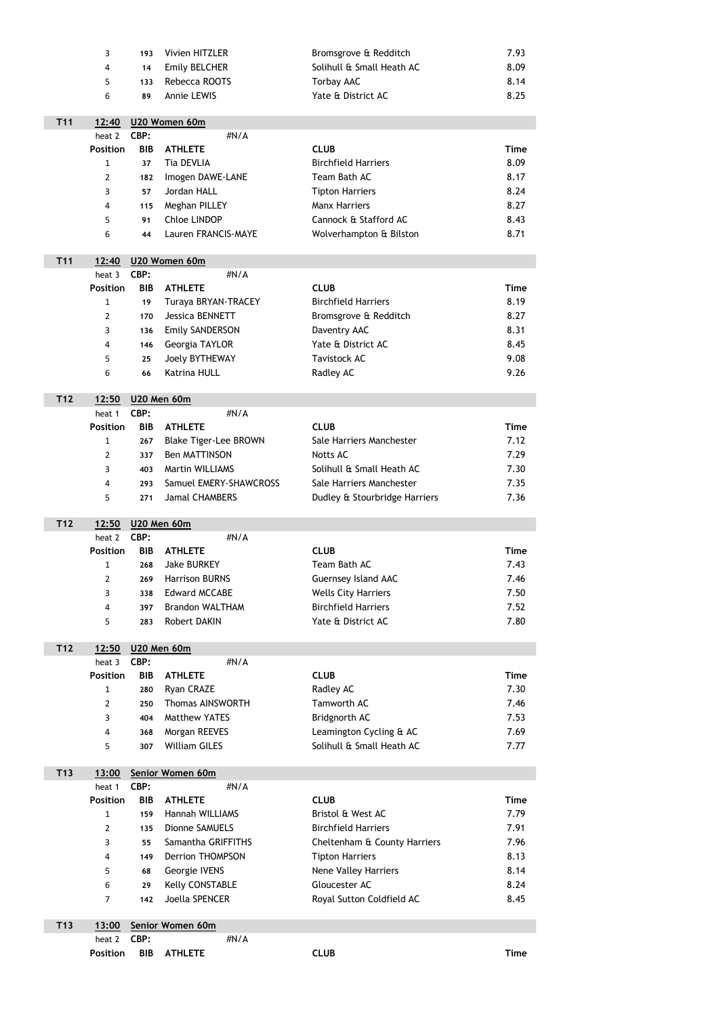|                 | 3                         | 193                | Vivien HITZLER               | Bromsgrove & Redditch         | 7.93        |
|-----------------|---------------------------|--------------------|------------------------------|-------------------------------|-------------|
|                 | 4                         | 14                 | <b>Emily BELCHER</b>         | Solihull & Small Heath AC     | 8.09        |
|                 | 5                         | 133                | Rebecca ROOTS                | <b>Torbay AAC</b>             | 8.14        |
|                 | 6                         | 89                 | Annie LEWIS                  | Yate & District AC            | 8.25        |
|                 |                           |                    |                              |                               |             |
| T <sub>11</sub> | 12:40                     |                    | U20 Women 60m                |                               |             |
|                 | heat 2                    | CBP:               | #N/A                         |                               |             |
|                 | <b>Position</b>           | <b>BIB</b>         | <b>ATHLETE</b>               | <b>CLUB</b>                   | <b>Time</b> |
|                 | $\mathbf{1}$              | 37                 | <b>Tia DEVLIA</b>            | <b>Birchfield Harriers</b>    | 8.09        |
|                 | $\overline{2}$            | 182                | Imogen DAWE-LANE             | Team Bath AC                  | 8.17        |
|                 | 3                         | 57                 | Jordan HALL                  | <b>Tipton Harriers</b>        | 8.24        |
|                 | 4                         | 115                | Meghan PILLEY                | <b>Manx Harriers</b>          | 8.27        |
|                 | 5                         | 91                 | <b>Chloe LINDOP</b>          | Cannock & Stafford AC         | 8.43        |
|                 | 6                         | 44                 | Lauren FRANCIS-MAYE          | Wolverhampton & Bilston       | 8.71        |
| T <sub>11</sub> | 12:40                     |                    | U20 Women 60m                |                               |             |
|                 | heat 3                    | CBP:               | #N/A                         |                               |             |
|                 | <b>Position</b>           | <b>BIB</b>         | <b>ATHLETE</b>               | <b>CLUB</b>                   | <b>Time</b> |
|                 | 1                         | 19                 | Turaya BRYAN-TRACEY          | <b>Birchfield Harriers</b>    | 8.19        |
|                 | $\overline{2}$            | 170                | <b>Jessica BENNETT</b>       | Bromsgrove & Redditch         | 8.27        |
|                 | 3                         | 136                | <b>Emily SANDERSON</b>       | Daventry AAC                  | 8.31        |
|                 | $\overline{\mathbf{4}}$   | 146                | Georgia TAYLOR               | Yate & District AC            | 8.45        |
|                 | 5                         | 25                 | <b>Joely BYTHEWAY</b>        | <b>Tavistock AC</b>           | 9.08        |
|                 | 6                         | 66                 | <b>Katrina HULL</b>          | Radley AC                     | 9.26        |
|                 |                           |                    |                              |                               |             |
| T <sub>12</sub> | 12:50                     |                    | <b>U20 Men 60m</b>           |                               |             |
|                 | heat 1<br><b>Position</b> | CBP:<br><b>BIB</b> | #N/A<br><b>ATHLETE</b>       | <b>CLUB</b>                   | <b>Time</b> |
|                 | $\mathbf{1}$              | 267                | <b>Blake Tiger-Lee BROWN</b> | Sale Harriers Manchester      | 7.12        |
|                 |                           | 337                | <b>Ben MATTINSON</b>         | <b>Notts AC</b>               | 7.29        |
|                 | 2<br>3                    | 403                | <b>Martin WILLIAMS</b>       | Solihull & Small Heath AC     | 7.30        |
|                 | $\overline{4}$            | 293                | Samuel EMERY-SHAWCROSS       | Sale Harriers Manchester      | 7.35        |
|                 | 5                         | 271                | <b>Jamal CHAMBERS</b>        | Dudley & Stourbridge Harriers | 7.36        |
|                 |                           |                    |                              |                               |             |
| T <sub>12</sub> | 12:50                     |                    | <b>U20 Men 60m</b>           |                               |             |
|                 | heat 2                    | CBP:               | #N/A                         |                               |             |
|                 | <b>Position</b>           | <b>BIB</b>         | <b>ATHLETE</b>               | <b>CLUB</b>                   | <b>Time</b> |
|                 | $\mathbf{1}$              | 268                | <b>Jake BURKEY</b>           | Team Bath AC                  | 7.43        |
|                 | $\overline{2}$            | 269                | <b>Harrison BURNS</b>        | <b>Guernsey Island AAC</b>    | 7.46        |
|                 | 3                         | 338                | <b>Edward MCCABE</b>         | <b>Wells City Harriers</b>    | 7.50        |
|                 | 4                         | 397                | <b>Brandon WALTHAM</b>       | <b>Birchfield Harriers</b>    | 7.52        |
|                 | 5                         | 283                | Robert DAKIN                 | Yate & District AC            | 7.80        |
| T <sub>12</sub> | <u>12:50</u>              |                    | <b>U20 Men 60m</b>           |                               |             |
|                 | heat 3                    | CBP:               | #N/A                         |                               |             |
|                 | <b>Position</b>           | <b>BIB</b>         | <b>ATHLETE</b>               | <b>CLUB</b>                   | <b>Time</b> |
|                 | 1                         | 280                | Ryan CRAZE                   | Radley AC                     | 7.30        |
|                 | $\overline{2}$            | 250                | <b>Thomas AINSWORTH</b>      | <b>Tamworth AC</b>            | 7.46        |
|                 | 3                         | 404                | <b>Matthew YATES</b>         | Bridgnorth AC                 | 7.53        |
|                 | 4                         | 368                | Morgan REEVES                | Leamington Cycling & AC       | 7.69        |
|                 | 5                         | 307                | <b>William GILES</b>         | Solihull & Small Heath AC     | 7.77        |

| 13:00           |            | Senior Women 60m        |                              |             |
|-----------------|------------|-------------------------|------------------------------|-------------|
| heat 1          | CBP:       | $\#N/A$                 |                              |             |
| <b>Position</b> | <b>BIB</b> | <b>ATHLETE</b>          | <b>CLUB</b>                  | <b>Time</b> |
| 1               | 159        | Hannah WILLIAMS         | Bristol & West AC            | 7.79        |
| 2               | 135        | <b>Dionne SAMUELS</b>   | <b>Birchfield Harriers</b>   | 7.91        |
| 3               | 55         | Samantha GRIFFITHS      | Cheltenham & County Harriers | 7.96        |
| 4               | 149        | <b>Derrion THOMPSON</b> | <b>Tipton Harriers</b>       | 8.13        |
| 5               | 68         | Georgie IVENS           | <b>Nene Valley Harriers</b>  | 8.14        |
| 6               | 29         | <b>Kelly CONSTABLE</b>  | Gloucester AC                | 8.24        |
| 7               | 142        | Joella SPENCER          | Royal Sutton Coldfield AC    | 8.45        |
|                 |            |                         |                              |             |

T13

| T13 |                    | 13:00 Senior Women 60m |         |             |      |  |  |
|-----|--------------------|------------------------|---------|-------------|------|--|--|
|     | heat 2 <b>CBP:</b> |                        | $\#N/A$ |             |      |  |  |
|     |                    | Position BIB ATHLETE   |         | <b>CLUB</b> | Time |  |  |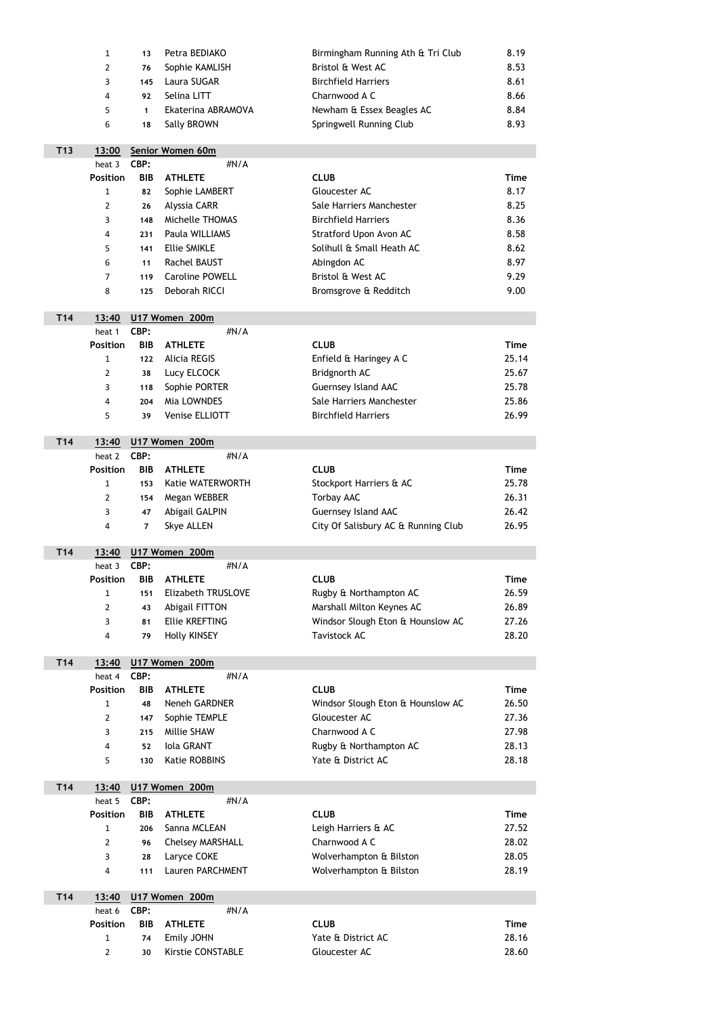|                 | $\mathbf{1}$              | 13                 | Petra BEDIAKO             | Birmingham Running Ath & Tri Club   | 8.19        |
|-----------------|---------------------------|--------------------|---------------------------|-------------------------------------|-------------|
|                 | $\overline{2}$            | 76                 | Sophie KAMLISH            | Bristol & West AC                   | 8.53        |
|                 | 3                         | 145                | Laura SUGAR               | <b>Birchfield Harriers</b>          | 8.61        |
|                 | 4                         | 92                 | Selina LITT               | Charnwood A C                       | 8.66        |
|                 | 5                         | $\mathbf{1}$       | Ekaterina ABRAMOVA        | Newham & Essex Beagles AC           | 8.84        |
|                 | 6                         | 18                 | Sally BROWN               | Springwell Running Club             | 8.93        |
|                 |                           |                    |                           |                                     |             |
| T <sub>13</sub> | 13:00                     |                    | Senior Women 60m          |                                     |             |
|                 | heat 3                    | CBP:               | #N/A                      |                                     |             |
|                 | <b>Position</b>           | <b>BIB</b>         | <b>ATHLETE</b>            | <b>CLUB</b>                         | <b>Time</b> |
|                 | $\mathbf{1}$              | 82                 | Sophie LAMBERT            | Gloucester AC                       | 8.17        |
|                 | $\overline{2}$            | 26                 | Alyssia CARR              | Sale Harriers Manchester            | 8.25        |
|                 | 3                         | 148                | Michelle THOMAS           | <b>Birchfield Harriers</b>          | 8.36        |
|                 | 4                         | 231                | Paula WILLIAMS            | <b>Stratford Upon Avon AC</b>       | 8.58        |
|                 | 5                         | 141                | <b>Ellie SMIKLE</b>       | Solihull & Small Heath AC           | 8.62        |
|                 | 6                         | 11                 | Rachel BAUST              | Abingdon AC                         | 8.97        |
|                 | 7                         | 119                | <b>Caroline POWELL</b>    | Bristol & West AC                   | 9.29        |
|                 | 8                         | 125                | Deborah RICCI             | Bromsgrove & Redditch               | 9.00        |
|                 |                           |                    |                           |                                     |             |
| T <sub>14</sub> | 13:40                     |                    | U17 Women 200m            |                                     |             |
|                 | heat 1<br><b>Position</b> | CBP:<br><b>BIB</b> | #N/A<br><b>ATHLETE</b>    | <b>CLUB</b>                         | <b>Time</b> |
|                 | $\mathbf{1}$              | 122                | <b>Alicia REGIS</b>       | Enfield & Haringey A C              | 25.14       |
|                 | $\overline{2}$            | 38                 | Lucy ELCOCK               | Bridgnorth AC                       | 25.67       |
|                 | 3                         |                    | Sophie PORTER             | Guernsey Island AAC                 | 25.78       |
|                 |                           | 118<br>204         | Mia LOWNDES               | Sale Harriers Manchester            | 25.86       |
|                 | 4<br>5                    | 39                 | Venise ELLIOTT            | <b>Birchfield Harriers</b>          | 26.99       |
|                 |                           |                    |                           |                                     |             |
| T <sub>14</sub> | 13:40                     |                    | U17 Women 200m            |                                     |             |
|                 | heat 2                    | CBP:               | #N/A                      |                                     |             |
|                 | <b>Position</b>           | <b>BIB</b>         | <b>ATHLETE</b>            | <b>CLUB</b>                         | <b>Time</b> |
|                 | $\mathbf{1}$              | 153                | <b>Katie WATERWORTH</b>   | Stockport Harriers & AC             | 25.78       |
|                 | $\overline{2}$            | 154                | Megan WEBBER              | <b>Torbay AAC</b>                   | 26.31       |
|                 | 3                         | 47                 | <b>Abigail GALPIN</b>     | <b>Guernsey Island AAC</b>          | 26.42       |
|                 | 4                         | $\overline{7}$     | <b>Skye ALLEN</b>         | City Of Salisbury AC & Running Club | 26.95       |
| T <sub>14</sub> |                           |                    | U17 Women 200m            |                                     |             |
|                 | 13:40<br>heat 3           | CBP:               | #N/A                      |                                     |             |
|                 | <b>Position</b>           | <b>BIB</b>         | <b>ATHLETE</b>            | <b>CLUB</b>                         | <b>Time</b> |
|                 | $\mathbf{1}$              | 151                | <b>Elizabeth TRUSLOVE</b> | Rugby & Northampton AC              | 26.59       |
|                 | $\overline{2}$            | 43                 | Abigail FITTON            | Marshall Milton Keynes AC           | 26.89       |
|                 | 3                         | 81                 | <b>Ellie KREFTING</b>     | Windsor Slough Eton & Hounslow AC   | 27.26       |
|                 | 4                         | 79                 | <b>Holly KINSEY</b>       | <b>Tavistock AC</b>                 | 28.20       |
|                 |                           |                    |                           |                                     |             |
| T <sub>14</sub> | 13:40                     |                    | U17 Women 200m            |                                     |             |
|                 | heat 4                    | CBP:               | #N/A                      |                                     |             |
|                 | <b>Position</b>           | <b>BIB</b>         | <b>ATHLETE</b>            | <b>CLUB</b>                         | <b>Time</b> |
|                 | $\mathbf{1}$              | 48                 | Neneh GARDNER             | Windsor Slough Eton & Hounslow AC   | 26.50       |
|                 | $\overline{2}$            | 147                | Sophie TEMPLE             | Gloucester AC                       | 27.36       |
|                 | 3                         | 215                | Millie SHAW               | Charnwood A C                       | 27.98       |
|                 | 4                         | 52                 | <b>Iola GRANT</b>         | Rugby & Northampton AC              | 28.13       |
|                 | 5                         | 130                | <b>Katie ROBBINS</b>      | Yate & District AC                  | 28.18       |

| T <sub>14</sub> | 13:40           |            | U17 Women 200m          |                         |             |  |  |  |  |
|-----------------|-----------------|------------|-------------------------|-------------------------|-------------|--|--|--|--|
|                 | heat 5          | CBP:       | # $N/A$                 |                         |             |  |  |  |  |
|                 | <b>Position</b> | <b>BIB</b> | <b>ATHLETE</b>          | <b>CLUB</b>             | <b>Time</b> |  |  |  |  |
|                 |                 | 206        | Sanna MCLEAN            | Leigh Harriers & AC     | 27.52       |  |  |  |  |
|                 |                 | 96         | <b>Chelsey MARSHALL</b> | Charnwood A C           | 28.02       |  |  |  |  |
|                 | 3               | 28         | Laryce COKE             | Wolverhampton & Bilston | 28.05       |  |  |  |  |
|                 | 4               | 111        | <b>Lauren PARCHMENT</b> | Wolverhampton & Bilston | 28.19       |  |  |  |  |
|                 |                 |            |                         |                         |             |  |  |  |  |

| T <sub>14</sub> |                    |    | 13:40 U17 Women 200m |      |                    |             |
|-----------------|--------------------|----|----------------------|------|--------------------|-------------|
|                 | heat 6 <b>CBP:</b> |    |                      | #N/A |                    |             |
|                 | <b>Position</b>    |    | <b>BIB ATHLETE</b>   |      | <b>CLUB</b>        | <b>Time</b> |
|                 | 1                  |    | 74 Emily JOHN        |      | Yate & District AC | 28.16       |
|                 | $\mathcal{P}$      | 30 | Kirstie CONSTABLE    |      | Gloucester AC      | 28.60       |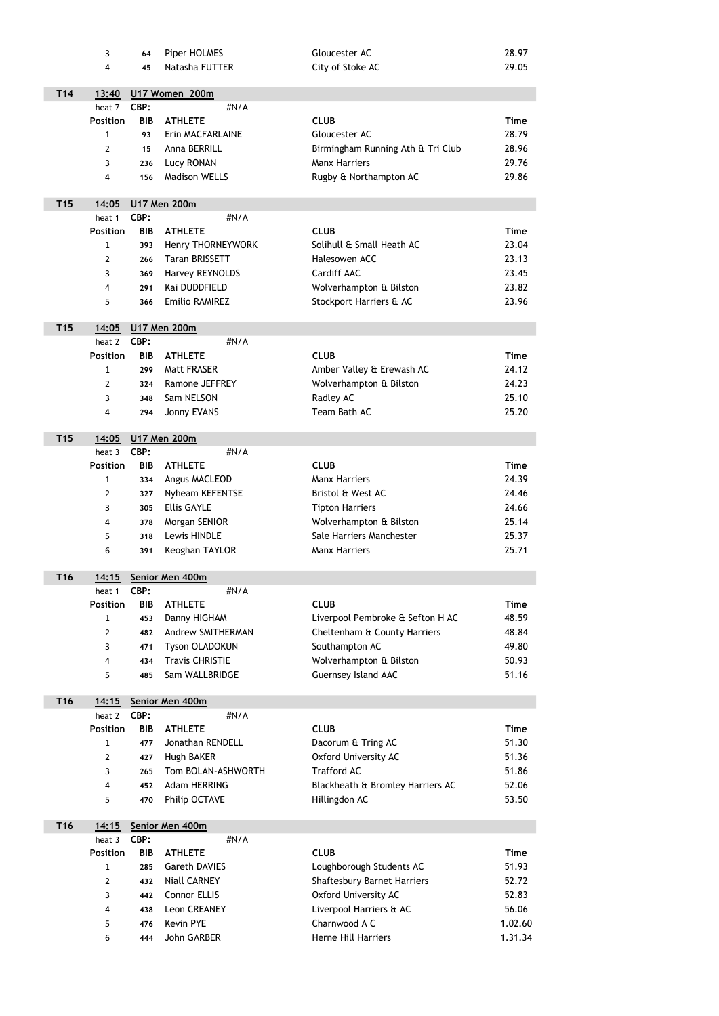|                 | 3               | 64         | Piper HOLMES             | Gloucester AC                      | 28.97       |
|-----------------|-----------------|------------|--------------------------|------------------------------------|-------------|
|                 | 4               | 45         | Natasha FUTTER           | City of Stoke AC                   | 29.05       |
|                 |                 |            |                          |                                    |             |
| T <sub>14</sub> | 13:40           |            | U17 Women 200m           |                                    |             |
|                 | heat 7          | CBP:       | #N/A                     |                                    |             |
|                 | <b>Position</b> | <b>BIB</b> | <b>ATHLETE</b>           | <b>CLUB</b>                        | <b>Time</b> |
|                 | $\mathbf 1$     | 93         | Erin MACFARLAINE         | Gloucester AC                      | 28.79       |
|                 | $\overline{2}$  | 15         | Anna BERRILL             | Birmingham Running Ath & Tri Club  | 28.96       |
|                 | 3               | 236        | Lucy RONAN               | <b>Manx Harriers</b>               | 29.76       |
|                 | 4               | 156        | <b>Madison WELLS</b>     | Rugby & Northampton AC             | 29.86       |
|                 |                 |            |                          |                                    |             |
| T <sub>15</sub> | 14:05           |            | <b>U17 Men 200m</b>      |                                    |             |
|                 | heat 1          | CBP:       | #N/A                     |                                    |             |
|                 | <b>Position</b> | <b>BIB</b> | <b>ATHLETE</b>           | <b>CLUB</b>                        | <b>Time</b> |
|                 | $\mathbf{1}$    | 393        | Henry THORNEYWORK        | Solihull & Small Heath AC          | 23.04       |
|                 | $\overline{2}$  | 266        | <b>Taran BRISSETT</b>    | Halesowen ACC                      | 23.13       |
|                 | 3               | 369        | Harvey REYNOLDS          | Cardiff AAC                        | 23.45       |
|                 | 4               | 291        | Kai DUDDFIELD            | Wolverhampton & Bilston            | 23.82       |
|                 | 5               | 366        | <b>Emilio RAMIREZ</b>    | Stockport Harriers & AC            | 23.96       |
|                 |                 |            |                          |                                    |             |
| T <sub>15</sub> | 14:05           |            | <b>U17 Men 200m</b>      |                                    |             |
|                 | heat 2          | CBP:       | #N/A                     |                                    |             |
|                 | <b>Position</b> | <b>BIB</b> | <b>ATHLETE</b>           | <b>CLUB</b>                        | <b>Time</b> |
|                 | $\mathbf{1}$    | 299        | Matt FRASER              | Amber Valley & Erewash AC          | 24.12       |
|                 | $\overline{2}$  | 324        | Ramone JEFFREY           | Wolverhampton & Bilston            | 24.23       |
|                 | 3               | 348        | Sam NELSON               | Radley AC                          | 25.10       |
|                 | 4               | 294        | Jonny EVANS              | Team Bath AC                       | 25.20       |
|                 |                 |            |                          |                                    |             |
| T <sub>15</sub> | 14:05           |            | <b>U17 Men 200m</b>      |                                    |             |
|                 | heat 3          | CBP:       | $\#N/A$                  |                                    |             |
|                 | <b>Position</b> | <b>BIB</b> | <b>ATHLETE</b>           | <b>CLUB</b>                        | <b>Time</b> |
|                 | $\mathbf{1}$    | 334        | Angus MACLEOD            | <b>Manx Harriers</b>               | 24.39       |
|                 | $\overline{2}$  | 327        | Nyheam KEFENTSE          | Bristol & West AC                  | 24.46       |
|                 | 3               | 305        | <b>Ellis GAYLE</b>       | <b>Tipton Harriers</b>             | 24.66       |
|                 | 4               | 378        | Morgan SENIOR            | Wolverhampton & Bilston            | 25.14       |
|                 | 5               | 318        | Lewis HINDLE             | Sale Harriers Manchester           | 25.37       |
|                 | 6               | 391        | Keoghan TAYLOR           | <b>Manx Harriers</b>               | 25.71       |
|                 |                 |            |                          |                                    |             |
| T <sub>16</sub> | 14:15           |            | Senior Men 400m          |                                    |             |
|                 | heat 1          | CBP:       | #N/A                     |                                    |             |
|                 | <b>Position</b> | <b>BIB</b> | <b>ATHLETE</b>           | <b>CLUB</b>                        | <b>Time</b> |
|                 | $\mathbf{1}$    | 453        | Danny HIGHAM             | Liverpool Pembroke & Sefton H AC   | 48.59       |
|                 | $\overline{2}$  | 482        | <b>Andrew SMITHERMAN</b> | Cheltenham & County Harriers       | 48.84       |
|                 | 3               | 471        | <b>Tyson OLADOKUN</b>    | Southampton AC                     | 49.80       |
|                 | 4               | 434        | <b>Travis CHRISTIE</b>   | Wolverhampton & Bilston            | 50.93       |
|                 | 5               | 485        | Sam WALLBRIDGE           | Guernsey Island AAC                | 51.16       |
|                 |                 |            |                          |                                    |             |
| T <sub>16</sub> | 14:15           |            | Senior Men 400m          |                                    |             |
|                 | heat 2          | CBP:       | #N/A                     |                                    |             |
|                 | <b>Position</b> | <b>BIB</b> | <b>ATHLETE</b>           | <b>CLUB</b>                        | <b>Time</b> |
|                 | 1               | 477        | Jonathan RENDELL         | Dacorum & Tring AC                 | 51.30       |
|                 | $\overline{2}$  | 427        | <b>Hugh BAKER</b>        | Oxford University AC               | 51.36       |
|                 | 3               | 265        | Tom BOLAN-ASHWORTH       | <b>Trafford AC</b>                 | 51.86       |
|                 | 4               | 452        | <b>Adam HERRING</b>      | Blackheath & Bromley Harriers AC   | 52.06       |
|                 | 5               | 470        | Philip OCTAVE            | Hillingdon AC                      | 53.50       |
|                 |                 |            |                          |                                    |             |
| T <sub>16</sub> | 14:15           |            | Senior Men 400m          |                                    |             |
|                 | heat 3          | CBP:       | #N/A                     |                                    |             |
|                 | <b>Position</b> | <b>BIB</b> | <b>ATHLETE</b>           | <b>CLUB</b>                        | <b>Time</b> |
|                 | $\mathbf{1}$    | 285        | <b>Gareth DAVIES</b>     | Loughborough Students AC           | 51.93       |
|                 | $\overline{2}$  | 432        | <b>Niall CARNEY</b>      | <b>Shaftesbury Barnet Harriers</b> | 52.72       |
|                 | 3               | 442        | <b>Connor ELLIS</b>      | <b>Oxford University AC</b>        | 52.83       |
|                 | 4               | 438        | <b>Leon CREANEY</b>      | Liverpool Harriers & AC            | 56.06       |
|                 | 5               | 476        | <b>Kevin PYE</b>         | Charnwood A C                      | 1.02.60     |
|                 | 6               | 444        | John GARBER              | <b>Herne Hill Harriers</b>         | 1.31.34     |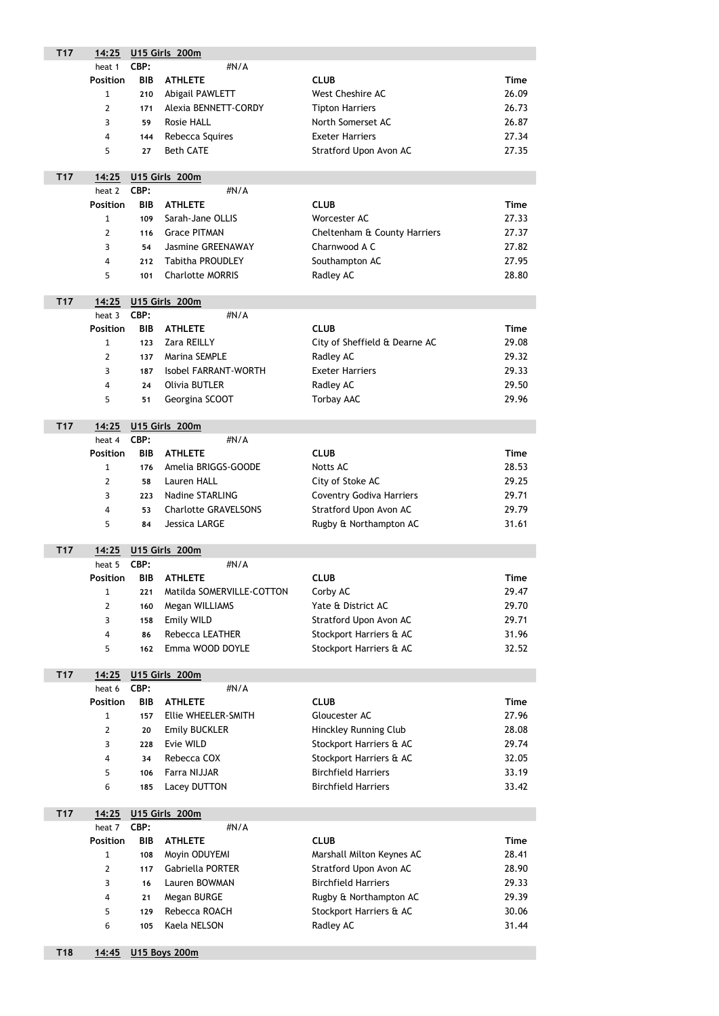| T <sub>17</sub> | 14:25                   | <b>U15 Girls 200m</b> |                             |                                 |             |  |  |
|-----------------|-------------------------|-----------------------|-----------------------------|---------------------------------|-------------|--|--|
|                 | heat 1                  | CBP:                  | #N/A                        |                                 |             |  |  |
|                 | <b>Position</b>         | <b>BIB</b>            | <b>ATHLETE</b>              | <b>CLUB</b>                     | <b>Time</b> |  |  |
|                 | $\mathbf{1}$            | 210                   | Abigail PAWLETT             | <b>West Cheshire AC</b>         | 26.09       |  |  |
|                 | $\overline{2}$          | 171                   | Alexia BENNETT-CORDY        | <b>Tipton Harriers</b>          | 26.73       |  |  |
|                 | 3                       | 59                    | <b>Rosie HALL</b>           | North Somerset AC               | 26.87       |  |  |
|                 | 4                       | 144                   | Rebecca Squires             | <b>Exeter Harriers</b>          | 27.34       |  |  |
|                 | 5                       | 27                    | <b>Beth CATE</b>            | Stratford Upon Avon AC          | 27.35       |  |  |
|                 |                         |                       |                             |                                 |             |  |  |
| T <sub>17</sub> | 14:25                   |                       | U15 Girls 200m              |                                 |             |  |  |
|                 | heat 2                  | CBP:                  | #N/A                        |                                 |             |  |  |
|                 | <b>Position</b>         | <b>BIB</b>            | <b>ATHLETE</b>              | <b>CLUB</b>                     | <b>Time</b> |  |  |
|                 | 1                       | 109                   | Sarah-Jane OLLIS            | Worcester AC                    | 27.33       |  |  |
|                 | $\overline{2}$          | 116                   | <b>Grace PITMAN</b>         | Cheltenham & County Harriers    | 27.37       |  |  |
|                 | 3                       | 54                    | <b>Jasmine GREENAWAY</b>    | Charnwood A C                   | 27.82       |  |  |
|                 | $\overline{4}$          | 212                   | <b>Tabitha PROUDLEY</b>     | Southampton AC                  | 27.95       |  |  |
|                 | 5                       | 101                   | <b>Charlotte MORRIS</b>     | Radley AC                       | 28.80       |  |  |
|                 |                         |                       |                             |                                 |             |  |  |
| <b>T17</b>      | <u>14:25</u>            |                       | <b>U15 Girls 200m</b>       |                                 |             |  |  |
|                 | heat 3                  | CBP:                  | #N/A                        |                                 |             |  |  |
|                 | <b>Position</b>         | <b>BIB</b>            | <b>ATHLETE</b>              | <b>CLUB</b>                     | <b>Time</b> |  |  |
|                 | 1                       | 123                   | Zara REILLY                 | City of Sheffield & Dearne AC   | 29.08       |  |  |
|                 | $\overline{2}$          | 137                   | Marina SEMPLE               | Radley AC                       | 29.32       |  |  |
|                 | 3                       | 187                   | <b>Isobel FARRANT-WORTH</b> | <b>Exeter Harriers</b>          | 29.33       |  |  |
|                 | $\overline{a}$          | 24                    | <b>Olivia BUTLER</b>        | Radley AC                       | 29.50       |  |  |
|                 | 5                       | 51                    | Georgina SCOOT              | <b>Torbay AAC</b>               | 29.96       |  |  |
|                 |                         |                       |                             |                                 |             |  |  |
| T <sub>17</sub> | 14:25                   |                       | U15 Girls 200m              |                                 |             |  |  |
|                 | heat 4                  | CBP:                  | #N/A                        |                                 |             |  |  |
|                 | <b>Position</b>         | <b>BIB</b>            | <b>ATHLETE</b>              | <b>CLUB</b>                     | <b>Time</b> |  |  |
|                 | 1                       | 176                   | Amelia BRIGGS-GOODE         | <b>Notts AC</b>                 | 28.53       |  |  |
|                 | $\overline{2}$          | 58                    | Lauren HALL                 | City of Stoke AC                | 29.25       |  |  |
|                 | 3                       | 223                   | <b>Nadine STARLING</b>      | <b>Coventry Godiva Harriers</b> | 29.71       |  |  |
|                 | $\overline{4}$          | 53                    | <b>Charlotte GRAVELSONS</b> | Stratford Upon Avon AC          | 29.79       |  |  |
|                 | 5                       | 84                    | <b>Jessica LARGE</b>        | Rugby & Northampton AC          | 31.61       |  |  |
|                 |                         |                       |                             |                                 |             |  |  |
| T <sub>17</sub> | 14:25                   |                       | U15 Girls 200m              |                                 |             |  |  |
|                 | heat 5                  | CBP:                  | #N/A                        |                                 |             |  |  |
|                 | <b>Position</b>         | <b>BIB</b>            | <b>ATHLETE</b>              | <b>CLUB</b>                     | <b>Time</b> |  |  |
|                 | 1                       | 221                   | Matilda SOMERVILLE-COTTON   | Corby AC                        | 29.47       |  |  |
|                 | $\overline{2}$          | 160                   | Megan WILLIAMS              | Yate & District AC              | 29.70       |  |  |
|                 | 3                       | 158                   | <b>Emily WILD</b>           | Stratford Upon Avon AC          | 29.71       |  |  |
|                 | $\overline{\mathbf{4}}$ | 86                    | <b>Rebecca LEATHER</b>      | Stockport Harriers & AC         | 31.96       |  |  |
|                 | 5                       | 162                   | Emma WOOD DOYLE             | Stockport Harriers & AC         | 32.52       |  |  |
|                 |                         |                       |                             |                                 |             |  |  |
| T <sub>17</sub> | 14:25                   |                       | U15 Girls 200m              |                                 |             |  |  |
|                 | heat 6                  | CBP:                  | #N/A                        |                                 |             |  |  |
|                 | <b>Position</b>         | <b>BIB</b>            | <b>ATHLETE</b>              | <b>CLUB</b>                     | <b>Time</b> |  |  |
|                 | $\mathbf{1}$            | 157                   | Ellie WHEELER-SMITH         | Gloucester AC                   | 27.96       |  |  |
|                 | 2                       | 20                    | <b>Emily BUCKLER</b>        | <b>Hinckley Running Club</b>    | 28.08       |  |  |
|                 | 3                       | 228                   | Evie WILD                   | Stockport Harriers & AC         | 29.74       |  |  |
|                 | 4                       | 34                    | Rebecca COX                 | Stockport Harriers & AC         | 32.05       |  |  |

|  | 106 Farra NIJJAR | <b>Birchfield Harriers</b> | 33.19 |
|--|------------------|----------------------------|-------|
|  | 185 Lacey DUTTON | <b>Birchfield Harriers</b> | 33.42 |

| T <sub>17</sub> | 14:25           |            | U15 Girls 200m          |                            |             |
|-----------------|-----------------|------------|-------------------------|----------------------------|-------------|
|                 | heat 7          | CBP:       | #N/A                    |                            |             |
|                 | <b>Position</b> | <b>BIB</b> | <b>ATHLETE</b>          | <b>CLUB</b>                | <b>Time</b> |
|                 |                 | 108        | Moyin ODUYEMI           | Marshall Milton Keynes AC  | 28.41       |
|                 | 2               | 117        | <b>Gabriella PORTER</b> | Stratford Upon Avon AC     | 28.90       |
|                 | 3               | 16         | Lauren BOWMAN           | <b>Birchfield Harriers</b> | 29.33       |
|                 | 4               | 21         | Megan BURGE             | Rugby & Northampton AC     | 29.39       |
|                 | 5.              | 129        | Rebecca ROACH           | Stockport Harriers & AC    | 30.06       |
|                 | 6               | 105        | Kaela NELSON            | Radley AC                  | 31.44       |

## T18 14:45 U15 Boys 200m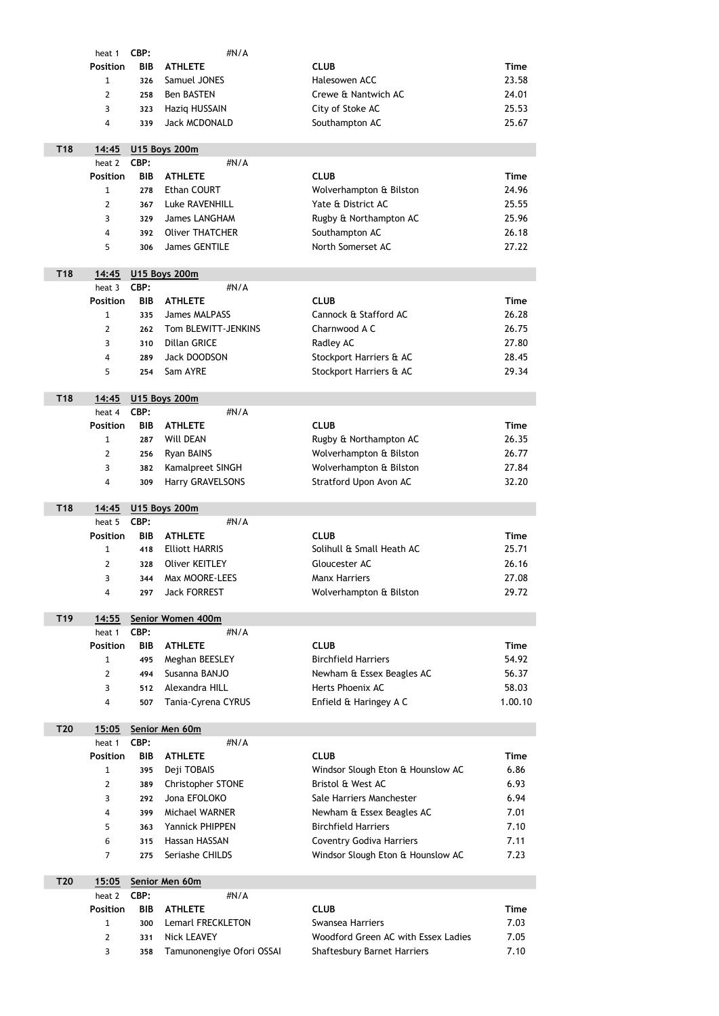|                 | heat 1          | CBP:       | #N/A                   |                                   |             |
|-----------------|-----------------|------------|------------------------|-----------------------------------|-------------|
|                 | <b>Position</b> | <b>BIB</b> | <b>ATHLETE</b>         | <b>CLUB</b>                       | <b>Time</b> |
|                 | 1               | 326        | Samuel JONES           | Halesowen ACC                     | 23.58       |
|                 | $\overline{2}$  | 258        | <b>Ben BASTEN</b>      | Crewe & Nantwich AC               | 24.01       |
|                 | 3               | 323        | Haziq HUSSAIN          | City of Stoke AC                  | 25.53       |
|                 | 4               | 339        | <b>Jack MCDONALD</b>   | Southampton AC                    | 25.67       |
| T18             | 14:45           |            | <b>U15 Boys 200m</b>   |                                   |             |
|                 | heat 2          | CBP:       | #N/A                   |                                   |             |
|                 | <b>Position</b> | <b>BIB</b> | <b>ATHLETE</b>         | <b>CLUB</b>                       | <b>Time</b> |
|                 | $\mathbf{1}$    | 278        | <b>Ethan COURT</b>     | Wolverhampton & Bilston           | 24.96       |
|                 | 2               | 367        | <b>Luke RAVENHILL</b>  | Yate & District AC                | 25.55       |
|                 | 3               | 329        | <b>James LANGHAM</b>   | Rugby & Northampton AC            | 25.96       |
|                 | 4               | 392        | <b>Oliver THATCHER</b> | Southampton AC                    | 26.18       |
|                 | 5               | 306        | <b>James GENTILE</b>   | North Somerset AC                 | 27.22       |
| <b>T18</b>      | 14:45           |            | <b>U15 Boys 200m</b>   |                                   |             |
|                 | heat 3          | CBP:       | #N/A                   |                                   |             |
|                 | <b>Position</b> | <b>BIB</b> | <b>ATHLETE</b>         | <b>CLUB</b>                       | <b>Time</b> |
|                 | $\mathbf{1}$    | 335        | <b>James MALPASS</b>   | Cannock & Stafford AC             | 26.28       |
|                 | 2               | 262        | Tom BLEWITT-JENKINS    | Charnwood A C                     | 26.75       |
|                 | 3               | 310        | <b>Dillan GRICE</b>    | Radley AC                         | 27.80       |
|                 | 4               | 289        | Jack DOODSON           | Stockport Harriers & AC           | 28.45       |
|                 | 5               | 254        | Sam AYRE               | Stockport Harriers & AC           | 29.34       |
| T18             | 14:45           |            | <b>U15 Boys 200m</b>   |                                   |             |
|                 | heat 4          | CBP:       | #N/A                   |                                   |             |
|                 | <b>Position</b> |            | <b>BIB ATHLETE</b>     | <b>CLUB</b>                       | <b>Time</b> |
|                 | $\mathbf{1}$    | 287        | <b>Will DEAN</b>       | Rugby & Northampton AC            | 26.35       |
|                 | $\overline{2}$  | 256        | <b>Ryan BAINS</b>      | Wolverhampton & Bilston           | 26.77       |
|                 | 3               | 382        | Kamalpreet SINGH       | Wolverhampton & Bilston           | 27.84       |
|                 | 4               | 309        | Harry GRAVELSONS       | Stratford Upon Avon AC            | 32.20       |
| T18             | 14:45           |            | <b>U15 Boys 200m</b>   |                                   |             |
|                 | heat 5          | CBP:       | #N/A                   |                                   |             |
|                 | <b>Position</b> | <b>BIB</b> | <b>ATHLETE</b>         | <b>CLUB</b>                       | <b>Time</b> |
|                 | $\mathbf{1}$    | 418        | <b>Elliott HARRIS</b>  | Solihull & Small Heath AC         | 25.71       |
|                 | $\overline{2}$  | 328        | <b>Oliver KEITLEY</b>  | Gloucester AC                     | 26.16       |
|                 | 3               | 344        | Max MOORE-LEES         | <b>Manx Harriers</b>              | 27.08       |
|                 | 4               | 297        | <b>Jack FORREST</b>    | Wolverhampton & Bilston           | 29.72       |
| T <sub>19</sub> | 14:55           |            | Senior Women 400m      |                                   |             |
|                 | heat 1          | CBP:       | #N/A                   |                                   |             |
|                 | <b>Position</b> | <b>BIB</b> | <b>ATHLETE</b>         | <b>CLUB</b>                       | <b>Time</b> |
|                 | $\mathbf{1}$    | 495        | Meghan BEESLEY         | <b>Birchfield Harriers</b>        | 54.92       |
|                 | 2               | 494        | Susanna BANJO          | Newham & Essex Beagles AC         | 56.37       |
|                 | 3               | 512        | Alexandra HILL         | Herts Phoenix AC                  | 58.03       |
|                 | 4               | 507        | Tania-Cyrena CYRUS     | Enfield & Haringey A C            | 1.00.10     |
| T <sub>20</sub> | 15:05           |            | Senior Men 60m         |                                   |             |
|                 | heat 1          | CBP:       | #N/A                   |                                   |             |
|                 | <b>Position</b> | <b>BIB</b> | <b>ATHLETE</b>         | <b>CLUB</b>                       | <b>Time</b> |
|                 | $\mathbf{1}$    | 395        | Deji TOBAIS            | Windsor Slough Eton & Hounslow AC | 6.86        |
|                 | 2               | 389        | Christopher STONE      | Bristol & West AC                 | 6.93        |
|                 | 3               | 292        | Jona EFOLOKO           | Sale Harriers Manchester          | 6.94        |
|                 | 4               | 399        | Michael WARNER         | Newham & Essex Beagles AC         | 7.01        |
|                 | 5               | 363        | Yannick PHIPPEN        | <b>Birchfield Harriers</b>        | 7.10        |
|                 | 6               | 315        | Hassan HASSAN          | <b>Coventry Godiva Harriers</b>   | 7.11        |
|                 | 7               | 275        | Seriashe CHILDS        | Windsor Slough Eton & Hounslow AC | 7.23        |

| T <sub>20</sub> | 15:05           |             | Senior Men 60m            |                                     |      |
|-----------------|-----------------|-------------|---------------------------|-------------------------------------|------|
|                 | heat 2          | <b>CBP:</b> | $\#N/A$                   |                                     |      |
|                 | <b>Position</b> | <b>BIB</b>  | <b>ATHLETE</b>            | <b>CLUB</b>                         | Time |
|                 |                 | 300         | Lemarl FRECKLETON         | Swansea Harriers                    | 7.03 |
|                 |                 | 331         | Nick LEAVEY               | Woodford Green AC with Essex Ladies | 7.05 |
|                 | 3               | 358         | Tamunonengiye Ofori OSSAI | <b>Shaftesbury Barnet Harriers</b>  | 7.10 |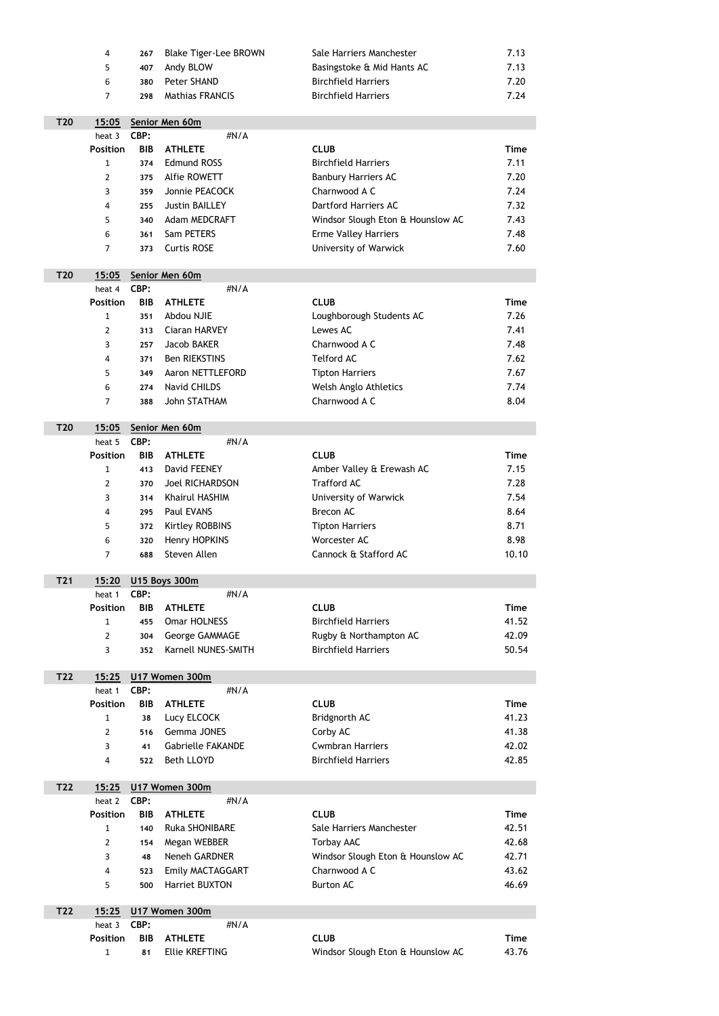|                 | 4               | 267        | <b>Blake Tiger-Lee BROWN</b> | Sale Harriers Manchester          | 7.13        |
|-----------------|-----------------|------------|------------------------------|-----------------------------------|-------------|
|                 | 5               | 407        | Andy BLOW                    | Basingstoke & Mid Hants AC        | 7.13        |
|                 | 6               | 380        | <b>Peter SHAND</b>           | <b>Birchfield Harriers</b>        | 7.20        |
|                 | $\overline{7}$  | 298        | <b>Mathias FRANCIS</b>       | <b>Birchfield Harriers</b>        | 7.24        |
|                 |                 |            |                              |                                   |             |
| T <sub>20</sub> | 15:05           |            | Senior Men 60m               |                                   |             |
|                 | heat 3          | CBP:       | #N/A                         |                                   |             |
|                 | <b>Position</b> | <b>BIB</b> | <b>ATHLETE</b>               | <b>CLUB</b>                       | <b>Time</b> |
|                 | $\mathbf{1}$    | 374        | <b>Edmund ROSS</b>           | <b>Birchfield Harriers</b>        | 7.11        |
|                 | $\overline{2}$  | 375        | <b>Alfie ROWETT</b>          | <b>Banbury Harriers AC</b>        | 7.20        |
|                 | 3               | 359        | Jonnie PEACOCK               | Charnwood A C                     | 7.24        |
|                 | 4               | 255        | <b>Justin BAILLEY</b>        | <b>Dartford Harriers AC</b>       | 7.32        |
|                 | 5               | 340        | Adam MEDCRAFT                | Windsor Slough Eton & Hounslow AC | 7.43        |
|                 | 6               | 361        | Sam PETERS                   | <b>Erme Valley Harriers</b>       | 7.48        |
|                 | $\overline{7}$  | 373        | <b>Curtis ROSE</b>           | <b>University of Warwick</b>      | 7.60        |
|                 |                 |            |                              |                                   |             |
| T <sub>20</sub> | 15:05           |            | Senior Men 60m               |                                   |             |
|                 | heat 4          | CBP:       | #N/A                         |                                   |             |
|                 | <b>Position</b> | <b>BIB</b> | <b>ATHLETE</b>               | <b>CLUB</b>                       | <b>Time</b> |
|                 | $\mathbf{1}$    | 351        | Abdou NJIE                   | Loughborough Students AC          | 7.26        |
|                 | $\overline{2}$  | 313        | <b>Ciaran HARVEY</b>         | Lewes AC                          | 7.41        |
|                 | $\overline{3}$  | 257        | <b>Jacob BAKER</b>           | Charnwood A C                     | 7.48        |
|                 | 4               | 371        | <b>Ben RIEKSTINS</b>         | <b>Telford AC</b>                 | 7.62        |
|                 | 5               | 349        | Aaron NETTLEFORD             | <b>Tipton Harriers</b>            | 7.67        |
|                 | 6               | 274        | <b>Navid CHILDS</b>          | Welsh Anglo Athletics             | 7.74        |
|                 | $\overline{7}$  | 388        | <b>John STATHAM</b>          | Charnwood A C                     | 8.04        |
| T <sub>20</sub> | 15:05           |            | Senior Men 60m               |                                   |             |
|                 | heat 5          | CBP:       | #N/A                         |                                   |             |
|                 |                 |            |                              |                                   |             |

| <b>Position</b> |     | <b>BIB ATHLETE</b>     | <b>CLUB</b>               | Time  |
|-----------------|-----|------------------------|---------------------------|-------|
| 1               | 413 | David FEENEY           | Amber Valley & Erewash AC | 7.15  |
| $\overline{2}$  | 370 | Joel RICHARDSON        | <b>Trafford AC</b>        | 7.28  |
| 3               | 314 | Khairul HASHIM         | University of Warwick     | 7.54  |
| 4               |     | 295 Paul EVANS         | Brecon AC                 | 8.64  |
| 5               | 372 | <b>Kirtley ROBBINS</b> | <b>Tipton Harriers</b>    | 8.71  |
| 6               | 320 | Henry HOPKINS          | Worcester AC              | 8.98  |
| 7               | 688 | Steven Allen           | Cannock & Stafford AC     | 10.10 |

| <b>T21</b> | 15:20           |            | <b>U15 Boys 300m</b>    |                            |       |
|------------|-----------------|------------|-------------------------|----------------------------|-------|
|            | heat 1          | CBP:       | #N/A                    |                            |       |
|            | <b>Position</b> | <b>BIB</b> | <b>ATHLETE</b>          | <b>CLUB</b>                | Time  |
|            |                 | 455        | <b>Omar HOLNESS</b>     | <b>Birchfield Harriers</b> | 41.52 |
|            | 2               | 304        | <b>George GAMMAGE</b>   | Rugby & Northampton AC     | 42.09 |
|            | 3               |            | 352 Karnell NUNES-SMITH | <b>Birchfield Harriers</b> | 50.54 |
|            |                 |            |                         |                            |       |

| T22 | 15:25           |            | U17 Women 300m           |                            |       |
|-----|-----------------|------------|--------------------------|----------------------------|-------|
|     | heat 1          | CBP:       | $\#N/A$                  |                            |       |
|     | <b>Position</b> | <b>BIB</b> | <b>ATHLETE</b>           | <b>CLUB</b>                | Time  |
|     |                 | 38         | Lucy ELCOCK              | Bridgnorth AC              | 41.23 |
|     | 2               | 516        | <b>Gemma JONES</b>       | Corby AC                   | 41.38 |
|     | 3               | 41         | <b>Gabrielle FAKANDE</b> | <b>Cwmbran Harriers</b>    | 42.02 |
|     | 4               | 522        | <b>Beth LLOYD</b>        | <b>Birchfield Harriers</b> | 42.85 |

| T22 | 15:25           |            | U17 Women 300m          |                                   |       |
|-----|-----------------|------------|-------------------------|-----------------------------------|-------|
|     | heat 2          | CBP:       | $\#N/A$                 |                                   |       |
|     | <b>Position</b> | <b>BIB</b> | <b>ATHLETE</b>          | <b>CLUB</b>                       | Time  |
|     | 1               | 140        | <b>Ruka SHONIBARE</b>   | Sale Harriers Manchester          | 42.51 |
|     | 2               | 154        | Megan WEBBER            | Torbay AAC                        | 42.68 |
|     | 3               | 48         | <b>Neneh GARDNER</b>    | Windsor Slough Eton & Hounslow AC | 42.71 |
|     | 4               | 523        | <b>Emily MACTAGGART</b> | Charnwood A C                     | 43.62 |
|     | 5               | 500        | <b>Harriet BUXTON</b>   | <b>Burton AC</b>                  | 46.69 |
|     |                 |            |                         |                                   |       |

| T22 |                    |    | 15:25 U17 Women 300m  |                                   |       |
|-----|--------------------|----|-----------------------|-----------------------------------|-------|
|     | heat 3 <b>CBP:</b> |    | $\#N/A$               |                                   |       |
|     |                    |    | Position BIB ATHLETE  | <b>CLUB</b>                       | Time  |
|     |                    | 81 | <b>Ellie KREFTING</b> | Windsor Slough Eton & Hounslow AC | 43.76 |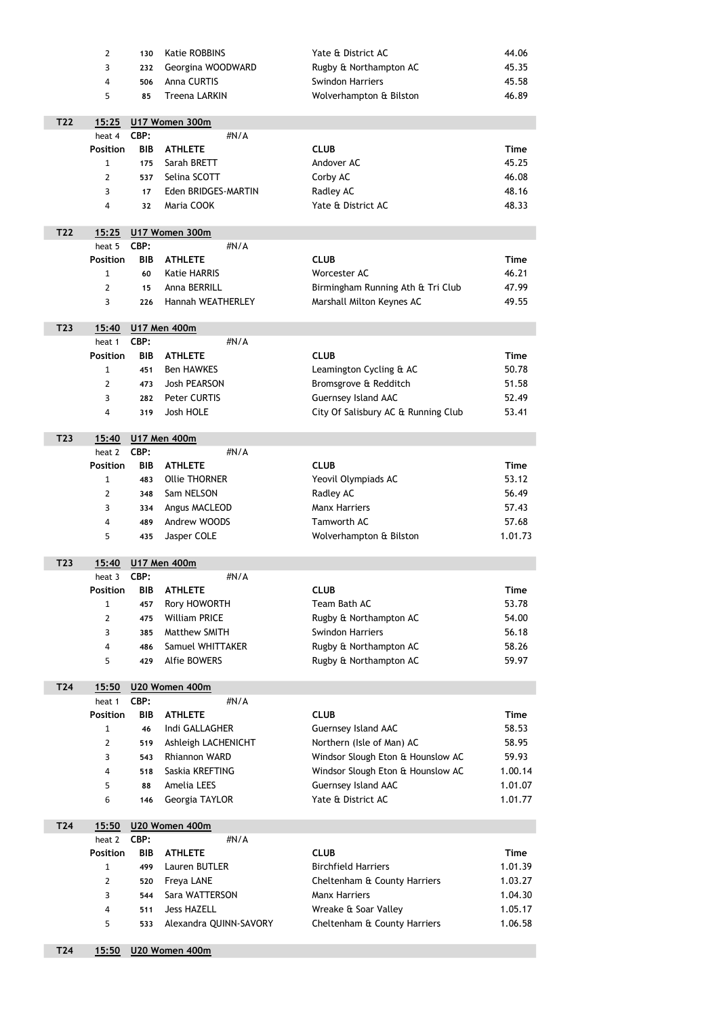|     | $\overline{2}$            | 130                | <b>Katie ROBBINS</b>        | Yate & District AC                  | 44.06       |
|-----|---------------------------|--------------------|-----------------------------|-------------------------------------|-------------|
|     | 3                         | 232                | Georgina WOODWARD           | Rugby & Northampton AC              | 45.35       |
|     | 4                         | 506                | <b>Anna CURTIS</b>          | <b>Swindon Harriers</b>             | 45.58       |
|     | 5                         | 85                 | <b>Treena LARKIN</b>        | Wolverhampton & Bilston             | 46.89       |
|     |                           |                    |                             |                                     |             |
| T22 | 15:25                     |                    | U17 Women 300m              |                                     |             |
|     | heat 4                    | CBP:               | #N/A                        |                                     |             |
|     | <b>Position</b>           | <b>BIB</b>         | <b>ATHLETE</b>              | <b>CLUB</b>                         | <b>Time</b> |
|     | 1                         | 175                | Sarah BRETT                 | Andover AC                          | 45.25       |
|     | 2                         | 537                | Selina SCOTT                | Corby AC                            | 46.08       |
|     | 3                         | 17                 | Eden BRIDGES-MARTIN         | Radley AC                           | 48.16       |
|     | 4                         | 32                 | Maria COOK                  | Yate & District AC                  | 48.33       |
| T22 | 15:25                     |                    | U17 Women 300m              |                                     |             |
|     | heat 5                    | CBP:               | #N/A                        |                                     |             |
|     | <b>Position</b>           | <b>BIB</b>         | <b>ATHLETE</b>              | <b>CLUB</b>                         | <b>Time</b> |
|     | $\mathbf{1}$              | 60                 | <b>Katie HARRIS</b>         | Worcester AC                        | 46.21       |
|     | $\overline{2}$            | 15                 | Anna BERRILL                | Birmingham Running Ath & Tri Club   | 47.99       |
|     | 3                         | 226                | <b>Hannah WEATHERLEY</b>    | Marshall Milton Keynes AC           | 49.55       |
|     |                           |                    |                             |                                     |             |
| T23 | 15:40                     |                    | <b>U17 Men 400m</b>         |                                     |             |
|     | heat 1                    | CBP:               | #N/A                        |                                     |             |
|     | <b>Position</b>           | <b>BIB</b>         | <b>ATHLETE</b>              | <b>CLUB</b>                         | <b>Time</b> |
|     | 1                         | 451                | <b>Ben HAWKES</b>           | Leamington Cycling & AC             | 50.78       |
|     | $\overline{2}$            | 473                | <b>Josh PEARSON</b>         | Bromsgrove & Redditch               | 51.58       |
|     | 3                         | 282                | Peter CURTIS                | <b>Guernsey Island AAC</b>          | 52.49       |
|     | 4                         | 319                | Josh HOLE                   | City Of Salisbury AC & Running Club | 53.41       |
| T23 | 15:40                     |                    |                             |                                     |             |
|     | heat 2                    | CBP:               | <b>U17 Men 400m</b><br>#N/A |                                     |             |
|     | <b>Position</b>           | <b>BIB</b>         | <b>ATHLETE</b>              | <b>CLUB</b>                         | <b>Time</b> |
|     | 1                         | 483                | <b>Ollie THORNER</b>        | Yeovil Olympiads AC                 | 53.12       |
|     | $\overline{2}$            | 348                | Sam NELSON                  | Radley AC                           | 56.49       |
|     | 3                         | 334                | Angus MACLEOD               | <b>Manx Harriers</b>                | 57.43       |
|     | 4                         | 489                | Andrew WOODS                | Tamworth AC                         | 57.68       |
|     | 5                         | 435                | Jasper COLE                 | Wolverhampton & Bilston             | 1.01.73     |
|     |                           |                    |                             |                                     |             |
| T23 | 15:40                     |                    | <b>U17 Men 400m</b>         |                                     |             |
|     | heat 3                    | CBP:               | #N/A                        |                                     |             |
|     | <b>Position</b>           | <b>BIB</b>         | <b>ATHLETE</b>              | <b>CLUB</b>                         | <b>Time</b> |
|     | 1                         | 457                | Rory HOWORTH                | Team Bath AC                        | 53.78       |
|     | $\overline{2}$            | 475                | <b>William PRICE</b>        | Rugby & Northampton AC              | 54.00       |
|     | 3                         | 385                | <b>Matthew SMITH</b>        | <b>Swindon Harriers</b>             | 56.18       |
|     | 4                         | 486                | Samuel WHITTAKER            | Rugby & Northampton AC              | 58.26       |
|     | 5                         | 429                | <b>Alfie BOWERS</b>         | Rugby & Northampton AC              | 59.97       |
| T24 | 15:50                     |                    | U20 Women 400m              |                                     |             |
|     | heat 1                    | CBP:               | #N/A                        |                                     |             |
|     | <b>Position</b>           | <b>BIB</b>         | <b>ATHLETE</b>              | <b>CLUB</b>                         | <b>Time</b> |
|     | $\mathbf{1}$              | 46                 | Indi GALLAGHER              | <b>Guernsey Island AAC</b>          | 58.53       |
|     | 2                         | 519                | Ashleigh LACHENICHT         | Northern (Isle of Man) AC           | 58.95       |
|     | 3                         | 543                | <b>Rhiannon WARD</b>        | Windsor Slough Eton & Hounslow AC   | 59.93       |
|     | 4                         | 518                | Saskia KREFTING             | Windsor Slough Eton & Hounslow AC   | 1.00.14     |
|     | 5                         | 88                 | <b>Amelia LEES</b>          | <b>Guernsey Island AAC</b>          | 1.01.07     |
|     | 6                         | 146                | Georgia TAYLOR              | Yate & District AC                  | 1.01.77     |
|     |                           |                    |                             |                                     |             |
| T24 | 15:50                     |                    | U20 Women 400m              |                                     |             |
|     | heat 2<br><b>Position</b> | CBP:<br><b>BIB</b> | #N/A<br><b>ATHLETE</b>      | <b>CLUB</b>                         | <b>Time</b> |
|     | $\mathbf{1}$              | 499                | Lauren BUTLER               | <b>Birchfield Harriers</b>          | 1.01.39     |
|     | $\overline{2}$            | 520                | Freya LANE                  | Cheltenham & County Harriers        | 1.03.27     |
|     | 3                         | 544                | Sara WATTERSON              | <b>Manx Harriers</b>                | 1.04.30     |
|     | 4                         | 511                | <b>Jess HAZELL</b>          | Wreake & Soar Valley                | 1.05.17     |
|     | 5                         | 533                | Alexandra QUINN-SAVORY      | Cheltenham & County Harriers        | 1.06.58     |
|     |                           |                    |                             |                                     |             |

## T24 15:50 U20 Women 400m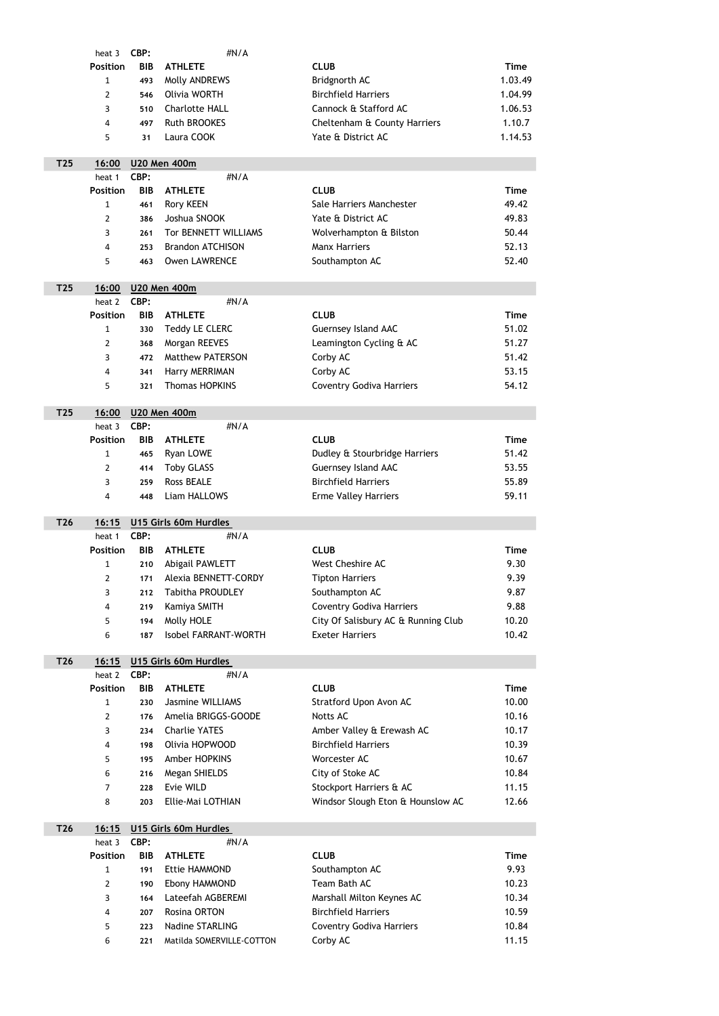|                 | heat 3          | CBP:       | #N/A                    |                                     |             |
|-----------------|-----------------|------------|-------------------------|-------------------------------------|-------------|
|                 | <b>Position</b> | <b>BIB</b> | <b>ATHLETE</b>          | <b>CLUB</b>                         | <b>Time</b> |
|                 | 1               | 493        | Molly ANDREWS           | Bridgnorth AC                       | 1.03.49     |
|                 | $\overline{2}$  | 546        | Olivia WORTH            | <b>Birchfield Harriers</b>          | 1.04.99     |
|                 | 3               | 510        | <b>Charlotte HALL</b>   | Cannock & Stafford AC               | 1.06.53     |
|                 | 4               | 497        | <b>Ruth BROOKES</b>     | Cheltenham & County Harriers        | 1.10.7      |
|                 | 5               | 31         | Laura COOK              | Yate & District AC                  | 1.14.53     |
|                 |                 |            |                         |                                     |             |
| T25             | 16:00           |            | <b>U20 Men 400m</b>     |                                     |             |
|                 | heat 1          | CBP:       | #N/A                    |                                     |             |
|                 | <b>Position</b> | <b>BIB</b> | <b>ATHLETE</b>          | <b>CLUB</b>                         | <b>Time</b> |
|                 | 1               | 461        | <b>Rory KEEN</b>        | Sale Harriers Manchester            | 49.42       |
|                 | $\overline{2}$  | 386        | Joshua SNOOK            | Yate & District AC                  | 49.83       |
|                 | 3               | 261        | Tor BENNETT WILLIAMS    | Wolverhampton & Bilston             | 50.44       |
|                 | 4               | 253        | <b>Brandon ATCHISON</b> | <b>Manx Harriers</b>                | 52.13       |
|                 | 5               | 463        | <b>Owen LAWRENCE</b>    | Southampton AC                      | 52.40       |
|                 |                 |            |                         |                                     |             |
| T <sub>25</sub> | 16:00           |            | <b>U20 Men 400m</b>     |                                     |             |
|                 | heat 2          | CBP:       | #N/A                    |                                     |             |
|                 | <b>Position</b> | <b>BIB</b> | <b>ATHLETE</b>          | <b>CLUB</b>                         | <b>Time</b> |
|                 | $\mathbf{1}$    | 330        | <b>Teddy LE CLERC</b>   | <b>Guernsey Island AAC</b>          | 51.02       |
|                 | 2               | 368        | Morgan REEVES           | Leamington Cycling & AC             | 51.27       |
|                 | 3               | 472        | <b>Matthew PATERSON</b> | Corby AC                            | 51.42       |
|                 | 4               | 341        | Harry MERRIMAN          | Corby AC                            | 53.15       |
|                 | 5               | 321        | <b>Thomas HOPKINS</b>   | <b>Coventry Godiva Harriers</b>     | 54.12       |
|                 |                 |            |                         |                                     |             |
|                 |                 |            |                         |                                     |             |
| T <sub>25</sub> | 16:00           |            | <b>U20 Men 400m</b>     |                                     |             |
|                 | heat 3          | CBP:       | #N/A                    |                                     |             |
|                 | <b>Position</b> | <b>BIB</b> | <b>ATHLETE</b>          | <b>CLUB</b>                         | <b>Time</b> |
|                 | 1               | 465        | Ryan LOWE               | Dudley & Stourbridge Harriers       | 51.42       |
|                 | $\overline{2}$  | 414        | <b>Toby GLASS</b>       | <b>Guernsey Island AAC</b>          | 53.55       |
|                 | 3               | 259        | <b>Ross BEALE</b>       | <b>Birchfield Harriers</b>          | 55.89       |
|                 | 4               | 448        | Liam HALLOWS            | <b>Erme Valley Harriers</b>         | 59.11       |
|                 |                 |            |                         |                                     |             |
| T26             | 16:15           |            | U15 Girls 60m Hurdles   |                                     |             |
|                 | heat 1          | CBP:       | #N/A                    |                                     |             |
|                 | <b>Position</b> | <b>BIB</b> | <b>ATHLETE</b>          | <b>CLUB</b>                         | <b>Time</b> |
|                 | 1               | 210        | Abigail PAWLETT         | <b>West Cheshire AC</b>             | 9.30        |
|                 | $\overline{2}$  | 171        | Alexia BENNETT-CORDY    | <b>Tipton Harriers</b>              | 9.39        |
|                 | 3               | 212        | <b>Tabitha PROUDLEY</b> | Southampton AC                      | 9.87        |
|                 | 4               | 219        | Kamiya SMITH            | <b>Coventry Godiva Harriers</b>     | 9.88        |
|                 | 5               | 194        | Molly HOLE              | City Of Salisbury AC & Running Club | 10.20       |
|                 | 6               | 187        | Isobel FARRANT-WORTH    | <b>Exeter Harriers</b>              | 10.42       |
|                 |                 |            |                         |                                     |             |
| T26             | 16:15           |            | U15 Girls 60m Hurdles   |                                     |             |
|                 | heat 2          | CBP:       | #N/A                    |                                     |             |
|                 | <b>Position</b> | <b>BIB</b> | <b>ATHLETE</b>          | <b>CLUB</b>                         | <b>Time</b> |
|                 | $\mathbf{1}$    | 230        | <b>Jasmine WILLIAMS</b> | Stratford Upon Avon AC              | 10.00       |
|                 | $\overline{2}$  | 176        | Amelia BRIGGS-GOODE     | <b>Notts AC</b>                     | 10.16       |
|                 | 3               | 234        | <b>Charlie YATES</b>    | Amber Valley & Erewash AC           | 10.17       |
|                 | 4               | 198        | Olivia HOPWOOD          | <b>Birchfield Harriers</b>          | 10.39       |

|                 | 6               | 216        | Megan SHIELDS             | City of Stoke AC                  | 10.84       |
|-----------------|-----------------|------------|---------------------------|-----------------------------------|-------------|
|                 | 7               | 228        | Evie WILD                 | Stockport Harriers & AC           | 11.15       |
|                 | 8               | 203        | Ellie-Mai LOTHIAN         | Windsor Slough Eton & Hounslow AC | 12.66       |
| T <sub>26</sub> | 16:15           |            | U15 Girls 60m Hurdles     |                                   |             |
|                 | heat 3          | CBP:       | $\#N/A$                   |                                   |             |
|                 | <b>Position</b> | <b>BIB</b> | <b>ATHLETE</b>            | <b>CLUB</b>                       | <b>Time</b> |
|                 | 1               | 191        | <b>Ettie HAMMOND</b>      | Southampton AC                    | 9.93        |
|                 | $\overline{2}$  | 190        | Ebony HAMMOND             | Team Bath AC                      | 10.23       |
|                 | 3               | 164        | Lateefah AGBEREMI         | Marshall Milton Keynes AC         | 10.34       |
|                 | 4               | 207        | <b>Rosina ORTON</b>       | <b>Birchfield Harriers</b>        | 10.59       |
|                 | 5               | 223        | <b>Nadine STARLING</b>    | <b>Coventry Godiva Harriers</b>   | 10.84       |
|                 | 6               | 221        | Matilda SOMERVILLE-COTTON | Corby AC                          | 11.15       |
|                 |                 |            |                           |                                   |             |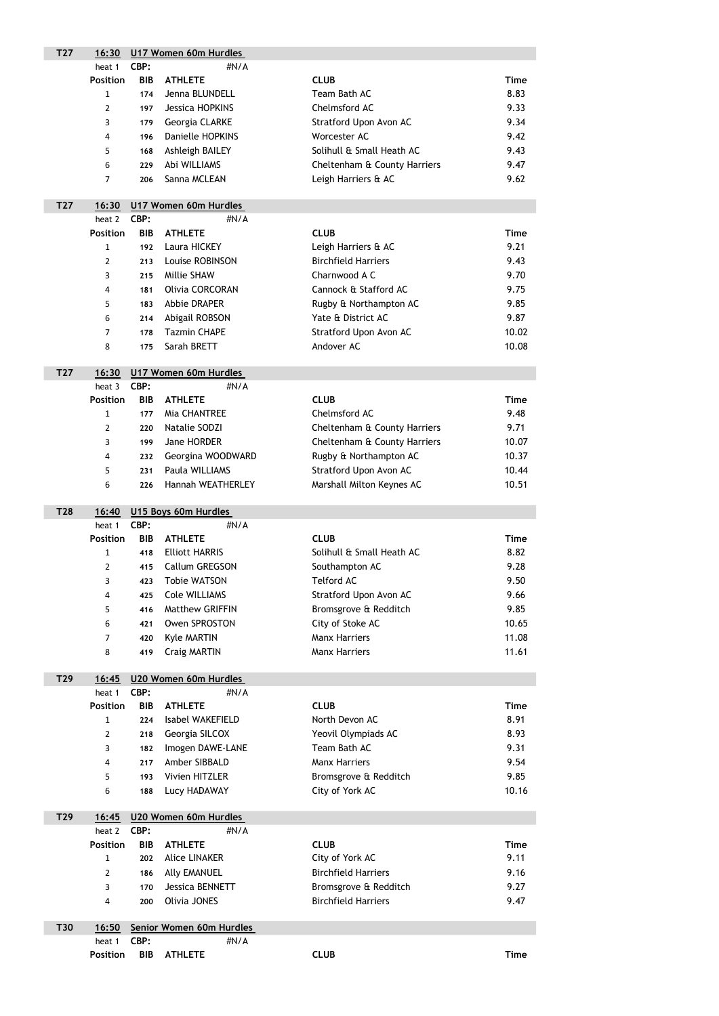| T <sub>27</sub> | 16:30                   | U17 Women 60m Hurdles |                               |                                     |             |  |  |
|-----------------|-------------------------|-----------------------|-------------------------------|-------------------------------------|-------------|--|--|
|                 | heat 1                  | CBP:                  | #N/A                          |                                     |             |  |  |
|                 | <b>Position</b>         | <b>BIB</b>            | <b>ATHLETE</b>                | <b>CLUB</b>                         | <b>Time</b> |  |  |
|                 | $\mathbf{1}$            | 174                   | Jenna BLUNDELL                | Team Bath AC                        | 8.83        |  |  |
|                 | $\overline{2}$          | 197                   | <b>Jessica HOPKINS</b>        | Chelmsford AC                       | 9.33        |  |  |
|                 | 3                       | 179                   | Georgia CLARKE                | <b>Stratford Upon Avon AC</b>       | 9.34        |  |  |
|                 | $\overline{4}$          | 196                   | <b>Danielle HOPKINS</b>       | Worcester AC                        | 9.42        |  |  |
|                 | 5                       | 168                   | Ashleigh BAILEY               | Solihull & Small Heath AC           | 9.43        |  |  |
|                 | 6                       | 229                   | Abi WILLIAMS                  | Cheltenham & County Harriers        | 9.47        |  |  |
|                 | 7                       | 206                   | Sanna MCLEAN                  | Leigh Harriers & AC                 | 9.62        |  |  |
|                 |                         |                       |                               |                                     |             |  |  |
| T <sub>27</sub> | 16:30                   |                       | U17 Women 60m Hurdles         |                                     |             |  |  |
|                 | heat 2                  | CBP:                  | #N/A                          |                                     |             |  |  |
|                 | <b>Position</b>         | <b>BIB</b>            | <b>ATHLETE</b>                | <b>CLUB</b>                         | <b>Time</b> |  |  |
|                 | $\mathbf{1}$            | 192                   | Laura HICKEY                  | Leigh Harriers & AC                 | 9.21        |  |  |
|                 | $\overline{2}$          | 213                   | Louise ROBINSON               | <b>Birchfield Harriers</b>          | 9.43        |  |  |
|                 | 3                       | 215                   | Millie SHAW                   | Charnwood A C                       | 9.70        |  |  |
|                 | $\overline{4}$          | 181                   | <b>Olivia CORCORAN</b>        | Cannock & Stafford AC               | 9.75        |  |  |
|                 | 5                       | 183                   | Abbie DRAPER                  | Rugby & Northampton AC              | 9.85        |  |  |
|                 | 6                       | 214                   | Abigail ROBSON                | Yate & District AC                  | 9.87        |  |  |
|                 | $\overline{7}$          | 178                   | <b>Tazmin CHAPE</b>           | Stratford Upon Avon AC              | 10.02       |  |  |
|                 | 8                       | 175                   | Sarah BRETT                   | Andover AC                          | 10.08       |  |  |
|                 |                         |                       |                               |                                     |             |  |  |
| T <sub>27</sub> | 16:30<br>heat 3         | CBP:                  | U17 Women 60m Hurdles<br>#N/A |                                     |             |  |  |
|                 | <b>Position</b>         | <b>BIB</b>            | <b>ATHLETE</b>                | <b>CLUB</b>                         | <b>Time</b> |  |  |
|                 | $\mathbf{1}$            | 177                   | Mia CHANTREE                  | Chelmsford AC                       | 9.48        |  |  |
|                 | 2                       | 220                   | Natalie SODZI                 | Cheltenham & County Harriers        | 9.71        |  |  |
|                 | 3                       | 199                   | Jane HORDER                   | Cheltenham & County Harriers        | 10.07       |  |  |
|                 | $\overline{\mathbf{4}}$ | 232                   | Georgina WOODWARD             | Rugby & Northampton AC              | 10.37       |  |  |
|                 | 5                       | 231                   | Paula WILLIAMS                | Stratford Upon Avon AC              | 10.44       |  |  |
|                 | 6                       | 226                   | Hannah WEATHERLEY             | Marshall Milton Keynes AC           | 10.51       |  |  |
|                 |                         |                       |                               |                                     |             |  |  |
| <b>T28</b>      | 16:40                   |                       | U15 Boys 60m Hurdles          |                                     |             |  |  |
|                 | heat 1                  | CBP:                  | #N/A                          |                                     |             |  |  |
|                 | <b>Position</b>         | <b>BIB</b>            | <b>ATHLETE</b>                | <b>CLUB</b>                         | <b>Time</b> |  |  |
|                 | $\mathbf{1}$            | 418                   | <b>Elliott HARRIS</b>         | Solihull & Small Heath AC           | 8.82        |  |  |
|                 | $\overline{2}$          | 415                   | Callum GREGSON                | Southampton AC                      | 9.28        |  |  |
|                 | 3                       | 423                   | <b>Tobie WATSON</b>           | <b>Telford AC</b>                   | 9.50        |  |  |
|                 | $\overline{a}$          | 425                   | <b>Cole WILLIAMS</b>          | Stratford Upon Avon AC              | 9.66        |  |  |
|                 | 5                       | 416                   | <b>Matthew GRIFFIN</b>        | Bromsgrove & Redditch               | 9.85        |  |  |
|                 | 6                       | 421                   | Owen SPROSTON                 | City of Stoke AC                    | 10.65       |  |  |
|                 | 7                       | 420                   | <b>Kyle MARTIN</b>            | <b>Manx Harriers</b>                | 11.08       |  |  |
|                 | 8                       | 419                   | <b>Craig MARTIN</b>           | <b>Manx Harriers</b>                | 11.61       |  |  |
|                 |                         |                       |                               |                                     |             |  |  |
| T29             | 16:45                   |                       | U20 Women 60m Hurdles         |                                     |             |  |  |
|                 | heat 1                  | CBP:                  | #N/A                          |                                     |             |  |  |
|                 | <b>Position</b>         | <b>BIB</b>            | <b>ATHLETE</b>                | <b>CLUB</b>                         | <b>Time</b> |  |  |
|                 | $\mathbf{1}$            | 224                   | Isabel WAKEFIELD              | North Devon AC                      | 8.91        |  |  |
|                 | $\overline{2}$          | 218                   | Georgia SILCOX                | Yeovil Olympiads AC<br>Team Bath AC | 8.93        |  |  |
|                 | 3                       | 182                   | Imogen DAWE-LANE              |                                     | 9.31        |  |  |
|                 | 4                       | 217                   | Amber SIBBALD                 | <b>Manx Harriers</b>                | 9.54        |  |  |

| 5. |                                           | 193 Vivien HITZLER          |                                | Bromsgrove & Redditch | 9.85  |
|----|-------------------------------------------|-----------------------------|--------------------------------|-----------------------|-------|
| 6  |                                           | 188 Lucy HADAWAY            |                                | City of York AC       | 10.16 |
|    |                                           | 16:45 U20 Women 60m Hurdles |                                |                       |       |
|    | $h_{\alpha\alpha}$ + $\gamma$ $\beta$ DD. |                             | $H$ <sub>N</sub> $I$ $\Lambda$ |                       |       |

| T29 |                 |            | 16:45 U20 Women 60m Hurdles |                            |      |  |  |  |
|-----|-----------------|------------|-----------------------------|----------------------------|------|--|--|--|
|     | heat 2          | CBP:       |                             | $\#N/A$                    |      |  |  |  |
|     | <b>Position</b> | <b>BIB</b> | <b>ATHLETE</b>              | <b>CLUB</b>                | Time |  |  |  |
|     |                 | 202        | <b>Alice LINAKER</b>        | City of York AC            | 9.11 |  |  |  |
|     | 2               | 186        | <b>Ally EMANUEL</b>         | <b>Birchfield Harriers</b> | 9.16 |  |  |  |
|     | 3               | 170        | Jessica BENNETT             | Bromsgrove & Redditch      | 9.27 |  |  |  |
|     | 4               | 200        | Olivia JONES                | <b>Birchfield Harriers</b> | 9.47 |  |  |  |

| <b>T30</b> |                    | 16:50 Senior Women 60m Hurdles |         |             |  |      |  |
|------------|--------------------|--------------------------------|---------|-------------|--|------|--|
|            | heat 1 <b>CBP:</b> |                                | # $N/A$ |             |  |      |  |
|            | <b>Position</b>    | <b>BIB ATHLETE</b>             |         | <b>CLUB</b> |  | Time |  |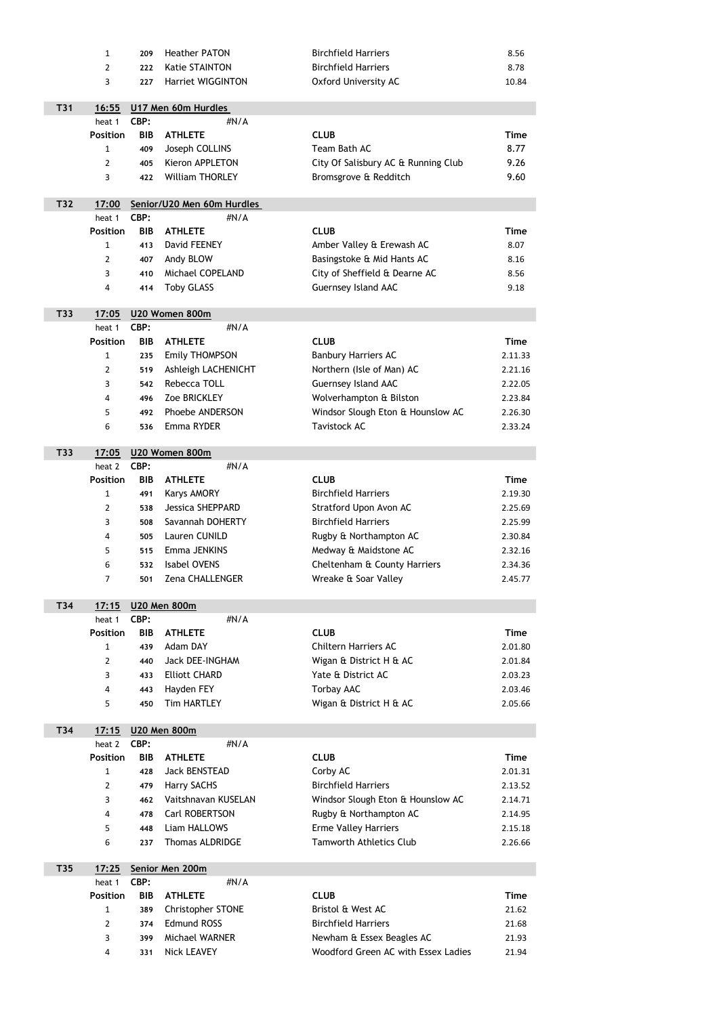|     | $\mathbf{1}$    | 209        | <b>Heather PATON</b>        | <b>Birchfield Harriers</b>          | 8.56        |
|-----|-----------------|------------|-----------------------------|-------------------------------------|-------------|
|     | 2               | 222        | <b>Katie STAINTON</b>       | <b>Birchfield Harriers</b>          | 8.78        |
|     | 3               | 227        | <b>Harriet WIGGINTON</b>    | <b>Oxford University AC</b>         | 10.84       |
|     |                 |            |                             |                                     |             |
| T31 | 16:55           |            | U17 Men 60m Hurdles         |                                     |             |
|     | heat 1          | CBP:       | #N/A                        |                                     |             |
|     | <b>Position</b> | <b>BIB</b> | <b>ATHLETE</b>              | <b>CLUB</b>                         | <b>Time</b> |
|     | $\mathbf{1}$    | 409        | Joseph COLLINS              | Team Bath AC                        | 8.77        |
|     | 2               | 405        | <b>Kieron APPLETON</b>      | City Of Salisbury AC & Running Club | 9.26        |
|     | 3               | 422        | <b>William THORLEY</b>      | Bromsgrove & Redditch               | 9.60        |
| T32 | 17:00           |            | Senior/U20 Men 60m Hurdles  |                                     |             |
|     | heat 1          | CBP:       | #N/A                        |                                     |             |
|     | <b>Position</b> | <b>BIB</b> | <b>ATHLETE</b>              | <b>CLUB</b>                         | <b>Time</b> |
|     | $\mathbf{1}$    | 413        | David FEENEY                | Amber Valley & Erewash AC           | 8.07        |
|     | 2               | 407        | Andy BLOW                   | Basingstoke & Mid Hants AC          | 8.16        |
|     | 3               | 410        | Michael COPELAND            | City of Sheffield & Dearne AC       | 8.56        |
|     | 4               | 414        | <b>Toby GLASS</b>           | <b>Guernsey Island AAC</b>          | 9.18        |
|     |                 |            |                             |                                     |             |
| T33 | 17:05           |            | U20 Women 800m              |                                     |             |
|     | heat 1          | CBP:       | #N/A                        |                                     |             |
|     | <b>Position</b> | <b>BIB</b> | <b>ATHLETE</b>              | <b>CLUB</b>                         | <b>Time</b> |
|     | 1               | 235        | <b>Emily THOMPSON</b>       | <b>Banbury Harriers AC</b>          | 2.11.33     |
|     | $\overline{2}$  | 519        | Ashleigh LACHENICHT         | Northern (Isle of Man) AC           | 2.21.16     |
|     | 3               | 542        | Rebecca TOLL                | Guernsey Island AAC                 | 2.22.05     |
|     | 4               | 496        | Zoe BRICKLEY                | Wolverhampton & Bilston             | 2.23.84     |
|     | 5               | 492        | Phoebe ANDERSON             | Windsor Slough Eton & Hounslow AC   | 2.26.30     |
|     | 6               | 536        | Emma RYDER                  | Tavistock AC                        | 2.33.24     |
| T33 | 17:05           |            | U20 Women 800m              |                                     |             |
|     | heat 2          | CBP:       | #N/A                        |                                     |             |
|     | <b>Position</b> | <b>BIB</b> | <b>ATHLETE</b>              | <b>CLUB</b>                         | <b>Time</b> |
|     | $\mathbf{1}$    | 491        | <b>Karys AMORY</b>          | <b>Birchfield Harriers</b>          | 2.19.30     |
|     | $\overline{2}$  | 538        | <b>Jessica SHEPPARD</b>     | <b>Stratford Upon Avon AC</b>       | 2.25.69     |
|     | 3               | 508        | Savannah DOHERTY            | <b>Birchfield Harriers</b>          | 2.25.99     |
|     | 4               | 505        | Lauren CUNILD               | Rugby & Northampton AC              | 2.30.84     |
|     | 5               | 515        | Emma JENKINS                | Medway & Maidstone AC               | 2.32.16     |
|     | 6               | 532        | <b>Isabel OVENS</b>         | Cheltenham & County Harriers        | 2.34.36     |
|     | 7               | 501        | Zena CHALLENGER             | Wreake & Soar Valley                | 2.45.77     |
|     |                 |            |                             |                                     |             |
| T34 | 17:15<br>heat 1 | CBP:       | <b>U20 Men 800m</b><br>#N/A |                                     |             |
|     | <b>Position</b> | <b>BIB</b> | <b>ATHLETE</b>              | <b>CLUB</b>                         | <b>Time</b> |
|     | $\mathbf{1}$    | 439        | Adam DAY                    | <b>Chiltern Harriers AC</b>         | 2.01.80     |
|     | $\overline{2}$  | 440        | <b>Jack DEE-INGHAM</b>      | Wigan & District H & AC             | 2.01.84     |
|     | 3               | 433        | <b>Elliott CHARD</b>        | Yate & District AC                  | 2.03.23     |
|     | 4               | 443        | Hayden FEY                  | <b>Torbay AAC</b>                   | 2.03.46     |
|     | 5               | 450        | <b>Tim HARTLEY</b>          | Wigan & District H & AC             | 2.05.66     |
|     |                 |            |                             |                                     |             |
| T34 | 17:15           |            | <b>U20 Men 800m</b>         |                                     |             |
|     | heat 2          | CBP:       | #N/A                        |                                     |             |
|     | <b>Position</b> | <b>BIB</b> | <b>ATHLETE</b>              | <b>CLUB</b>                         | <b>Time</b> |

|     | 428 | Jack BENSTEAD          | Corby AC                          | 2.01.31 |
|-----|-----|------------------------|-----------------------------------|---------|
| 2   | 479 | <b>Harry SACHS</b>     | <b>Birchfield Harriers</b>        | 2.13.52 |
| 3   | 462 | Vaitshnavan KUSELAN    | Windsor Slough Eton & Hounslow AC | 2.14.71 |
| 4   |     | 478 Carl ROBERTSON     | Rugby & Northampton AC            | 2.14.95 |
| .5. | 448 | Liam HALLOWS           | <b>Erme Valley Harriers</b>       | 2.15.18 |
| 6   | 237 | <b>Thomas ALDRIDGE</b> | <b>Tamworth Athletics Club</b>    | 2.26.66 |

| T <sub>35</sub> | 17:25           |            | Senior Men 200m          |                                     |             |  |  |  |
|-----------------|-----------------|------------|--------------------------|-------------------------------------|-------------|--|--|--|
|                 | heat 1          | CBP:       | #N/A                     |                                     |             |  |  |  |
|                 | <b>Position</b> | <b>BIB</b> | <b>ATHLETE</b>           | <b>CLUB</b>                         | <b>Time</b> |  |  |  |
|                 |                 | 389        | <b>Christopher STONE</b> | Bristol & West AC                   | 21.62       |  |  |  |
|                 |                 | 374        | <b>Edmund ROSS</b>       | <b>Birchfield Harriers</b>          | 21.68       |  |  |  |
|                 | 3               | 399        | Michael WARNER           | Newham & Essex Beagles AC           | 21.93       |  |  |  |
|                 | 4               | 331        | Nick LEAVEY              | Woodford Green AC with Essex Ladies | 21.94       |  |  |  |